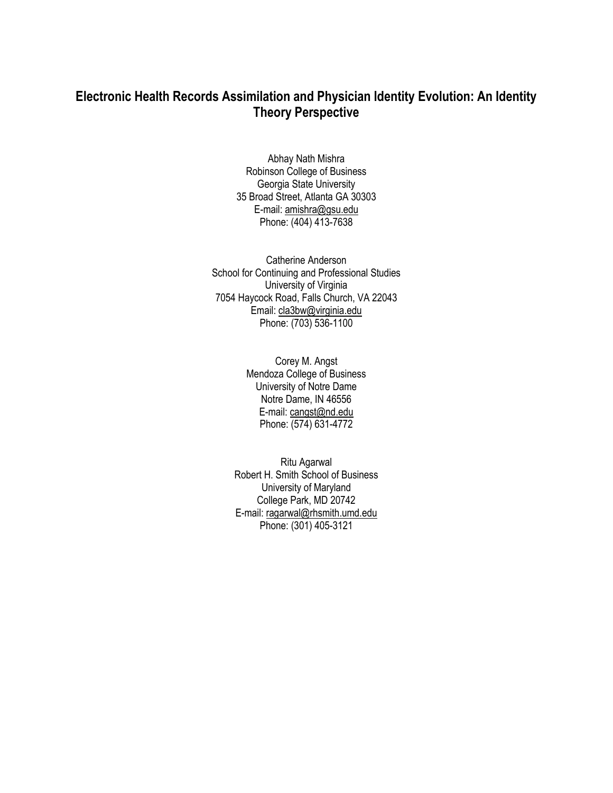# **Electronic Health Records Assimilation and Physician Identity Evolution: An Identity Theory Perspective**

Abhay Nath Mishra Robinson College of Business Georgia State University 35 Broad Street, Atlanta GA 30303 E-mail[: amishra@gsu.edu](mailto:amishra@gsu.edu) Phone: (404) 413-7638

Catherine Anderson School for Continuing and Professional Studies University of Virginia 7054 Haycock Road, Falls Church, VA 22043 Email: cla3bw@virginia.edu Phone: (703) 536-1100

> Corey M. Angst Mendoza College of Business University of Notre Dame Notre Dame, IN 46556 E-mail[: cangst@nd.edu](mailto:cangst@nd.edu) Phone: (574) 631-4772

Ritu Agarwal Robert H. Smith School of Business University of Maryland College Park, MD 20742 E-mail: [ragarwal@rhsmith.umd.edu](mailto:ragarwal@rhsmith.umd.edu) Phone: (301) 405-3121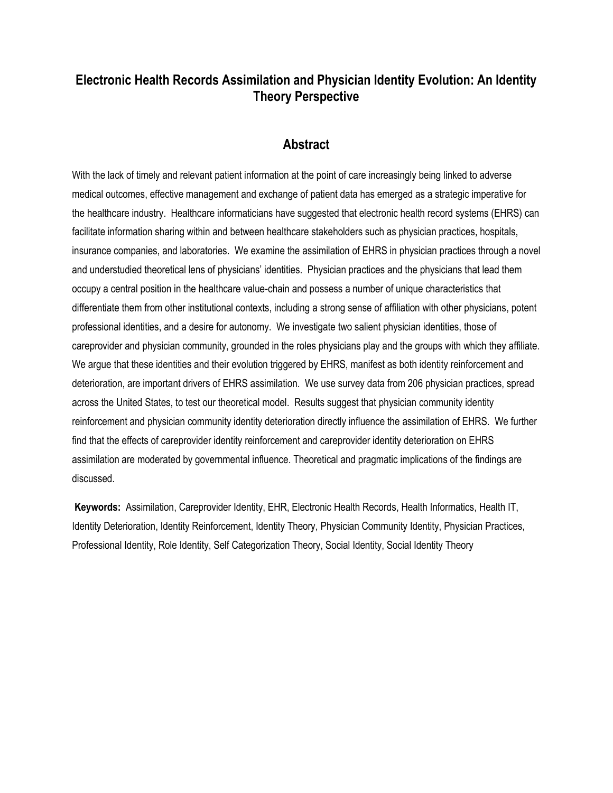# **Electronic Health Records Assimilation and Physician Identity Evolution: An Identity Theory Perspective**

# **Abstract**

With the lack of timely and relevant patient information at the point of care increasingly being linked to adverse medical outcomes, effective management and exchange of patient data has emerged as a strategic imperative for the healthcare industry. Healthcare informaticians have suggested that electronic health record systems (EHRS) can facilitate information sharing within and between healthcare stakeholders such as physician practices, hospitals, insurance companies, and laboratories. We examine the assimilation of EHRS in physician practices through a novel and understudied theoretical lens of physicians' identities. Physician practices and the physicians that lead them occupy a central position in the healthcare value-chain and possess a number of unique characteristics that differentiate them from other institutional contexts, including a strong sense of affiliation with other physicians, potent professional identities, and a desire for autonomy. We investigate two salient physician identities, those of careprovider and physician community, grounded in the roles physicians play and the groups with which they affiliate. We argue that these identities and their evolution triggered by EHRS, manifest as both identity reinforcement and deterioration, are important drivers of EHRS assimilation. We use survey data from 206 physician practices, spread across the United States, to test our theoretical model. Results suggest that physician community identity reinforcement and physician community identity deterioration directly influence the assimilation of EHRS. We further find that the effects of careprovider identity reinforcement and careprovider identity deterioration on EHRS assimilation are moderated by governmental influence. Theoretical and pragmatic implications of the findings are discussed.

**Keywords:** Assimilation, Careprovider Identity, EHR, Electronic Health Records, Health Informatics, Health IT, Identity Deterioration, Identity Reinforcement, Identity Theory, Physician Community Identity, Physician Practices, Professional Identity, Role Identity, Self Categorization Theory, Social Identity, Social Identity Theory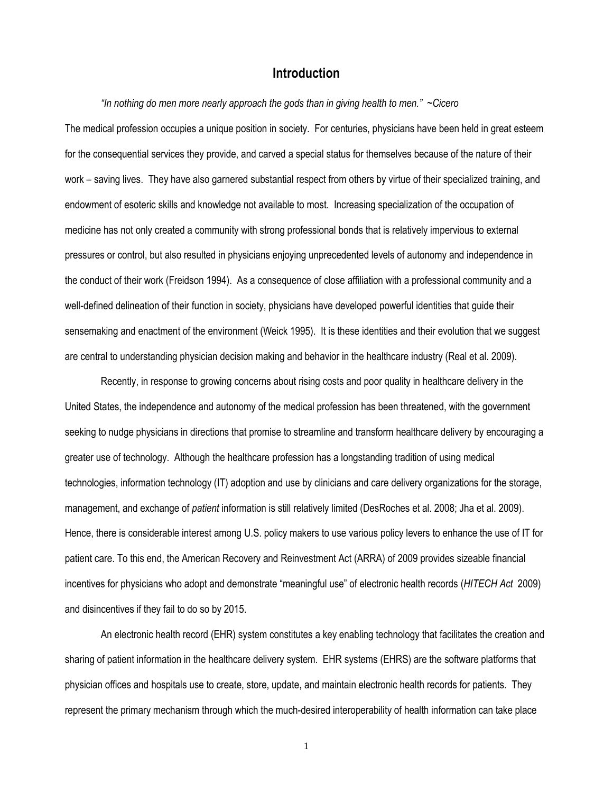# **Introduction**

*"In nothing do men more nearly approach the gods than in giving health to men." ~Cicero* 

The medical profession occupies a unique position in society. For centuries, physicians have been held in great esteem for the consequential services they provide, and carved a special status for themselves because of the nature of their work – saving lives. They have also garnered substantial respect from others by virtue of their specialized training, and endowment of esoteric skills and knowledge not available to most. Increasing specialization of the occupation of medicine has not only created a community with strong professional bonds that is relatively impervious to external pressures or control, but also resulted in physicians enjoying unprecedented levels of autonomy and independence in the conduct of their work (Freidson 1994). As a consequence of close affiliation with a professional community and a well-defined delineation of their function in society, physicians have developed powerful identities that guide their sensemaking and enactment of the environment (Weick 1995). It is these identities and their evolution that we suggest are central to understanding physician decision making and behavior in the healthcare industry (Real et al. 2009).

Recently, in response to growing concerns about rising costs and poor quality in healthcare delivery in the United States, the independence and autonomy of the medical profession has been threatened, with the government seeking to nudge physicians in directions that promise to streamline and transform healthcare delivery by encouraging a greater use of technology. Although the healthcare profession has a longstanding tradition of using medical technologies, information technology (IT) adoption and use by clinicians and care delivery organizations for the storage, management, and exchange of *patient* information is still relatively limited (DesRoches et al. 2008; Jha et al. 2009). Hence, there is considerable interest among U.S. policy makers to use various policy levers to enhance the use of IT for patient care. To this end, the American Recovery and Reinvestment Act (ARRA) of 2009 provides sizeable financial incentives for physicians who adopt and demonstrate "meaningful use" of electronic health records (*HITECH Act* 2009) and disincentives if they fail to do so by 2015.

An electronic health record (EHR) system constitutes a key enabling technology that facilitates the creation and sharing of patient information in the healthcare delivery system. EHR systems (EHRS) are the software platforms that physician offices and hospitals use to create, store, update, and maintain electronic health records for patients. They represent the primary mechanism through which the much-desired interoperability of health information can take place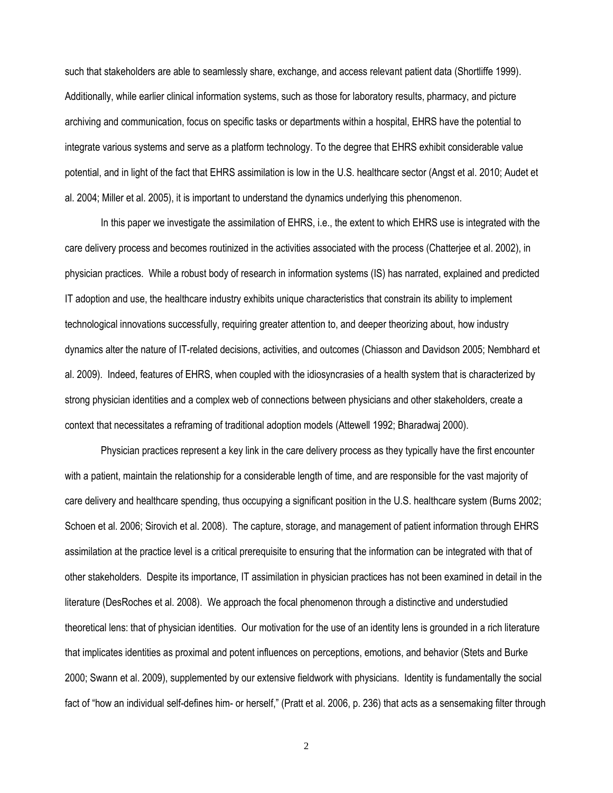such that stakeholders are able to seamlessly share, exchange, and access relevant patient data (Shortliffe 1999). Additionally, while earlier clinical information systems, such as those for laboratory results, pharmacy, and picture archiving and communication, focus on specific tasks or departments within a hospital, EHRS have the potential to integrate various systems and serve as a platform technology. To the degree that EHRS exhibit considerable value potential, and in light of the fact that EHRS assimilation is low in the U.S. healthcare sector (Angst et al. 2010; Audet et al. 2004; Miller et al. 2005), it is important to understand the dynamics underlying this phenomenon.

In this paper we investigate the assimilation of EHRS, i.e., the extent to which EHRS use is integrated with the care delivery process and becomes routinized in the activities associated with the process (Chatterjee et al. 2002), in physician practices. While a robust body of research in information systems (IS) has narrated, explained and predicted IT adoption and use, the healthcare industry exhibits unique characteristics that constrain its ability to implement technological innovations successfully, requiring greater attention to, and deeper theorizing about, how industry dynamics alter the nature of IT-related decisions, activities, and outcomes (Chiasson and Davidson 2005; Nembhard et al. 2009). Indeed, features of EHRS, when coupled with the idiosyncrasies of a health system that is characterized by strong physician identities and a complex web of connections between physicians and other stakeholders, create a context that necessitates a reframing of traditional adoption models (Attewell 1992; Bharadwaj 2000).

Physician practices represent a key link in the care delivery process as they typically have the first encounter with a patient, maintain the relationship for a considerable length of time, and are responsible for the vast majority of care delivery and healthcare spending, thus occupying a significant position in the U.S. healthcare system (Burns 2002; Schoen et al. 2006; Sirovich et al. 2008). The capture, storage, and management of patient information through EHRS assimilation at the practice level is a critical prerequisite to ensuring that the information can be integrated with that of other stakeholders. Despite its importance, IT assimilation in physician practices has not been examined in detail in the literature (DesRoches et al. 2008). We approach the focal phenomenon through a distinctive and understudied theoretical lens: that of physician identities. Our motivation for the use of an identity lens is grounded in a rich literature that implicates identities as proximal and potent influences on perceptions, emotions, and behavior (Stets and Burke 2000; Swann et al. 2009), supplemented by our extensive fieldwork with physicians. Identity is fundamentally the social fact of "how an individual self-defines him- or herself," (Pratt et al. 2006, p. 236) that acts as a sensemaking filter through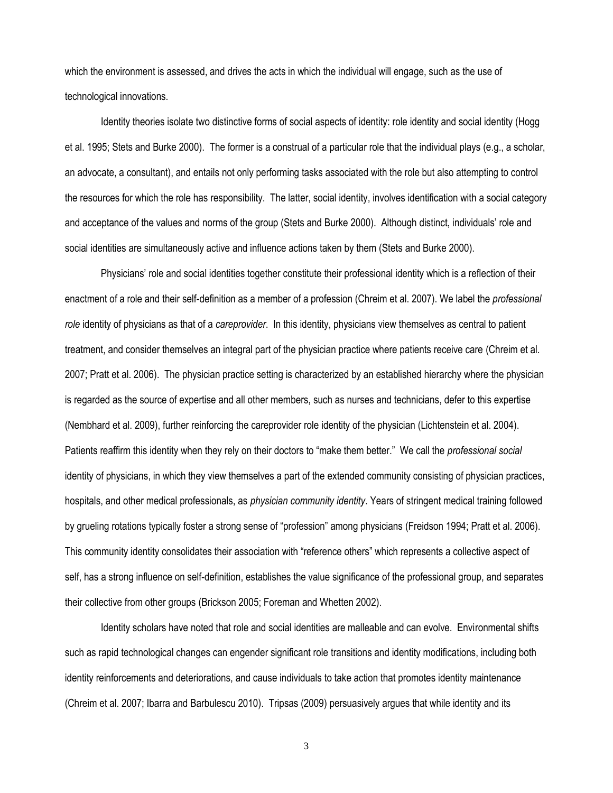which the environment is assessed, and drives the acts in which the individual will engage, such as the use of technological innovations.

Identity theories isolate two distinctive forms of social aspects of identity: role identity and social identity (Hogg et al. 1995; Stets and Burke 2000). The former is a construal of a particular role that the individual plays (e.g., a scholar, an advocate, a consultant), and entails not only performing tasks associated with the role but also attempting to control the resources for which the role has responsibility. The latter, social identity, involves identification with a social category and acceptance of the values and norms of the group (Stets and Burke 2000). Although distinct, individuals' role and social identities are simultaneously active and influence actions taken by them (Stets and Burke 2000).

Physicians' role and social identities together constitute their professional identity which is a reflection of their enactment of a role and their self-definition as a member of a profession (Chreim et al. 2007). We label the *professional role* identity of physicians as that of a *careprovider*. In this identity, physicians view themselves as central to patient treatment, and consider themselves an integral part of the physician practice where patients receive care (Chreim et al. 2007; Pratt et al. 2006). The physician practice setting is characterized by an established hierarchy where the physician is regarded as the source of expertise and all other members, such as nurses and technicians, defer to this expertise (Nembhard et al. 2009), further reinforcing the careprovider role identity of the physician (Lichtenstein et al. 2004). Patients reaffirm this identity when they rely on their doctors to "make them better." We call the *professional social* identity of physicians, in which they view themselves a part of the extended community consisting of physician practices, hospitals, and other medical professionals, as *physician community identity*. Years of stringent medical training followed by grueling rotations typically foster a strong sense of "profession" among physicians (Freidson 1994; Pratt et al. 2006). This community identity consolidates their association with "reference others" which represents a collective aspect of self, has a strong influence on self-definition, establishes the value significance of the professional group, and separates their collective from other groups (Brickson 2005; Foreman and Whetten 2002).

Identity scholars have noted that role and social identities are malleable and can evolve. Environmental shifts such as rapid technological changes can engender significant role transitions and identity modifications, including both identity reinforcements and deteriorations, and cause individuals to take action that promotes identity maintenance (Chreim et al. 2007; Ibarra and Barbulescu 2010). Tripsas (2009) persuasively argues that while identity and its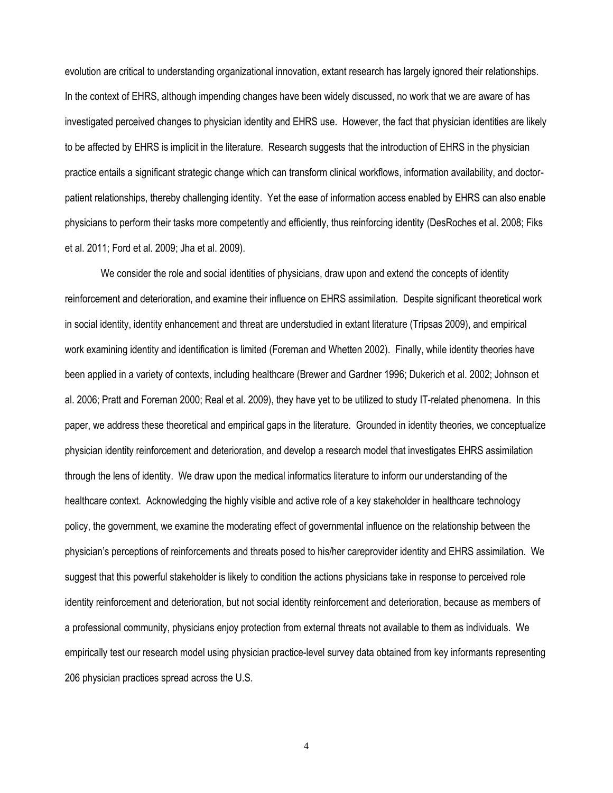evolution are critical to understanding organizational innovation, extant research has largely ignored their relationships. In the context of EHRS, although impending changes have been widely discussed, no work that we are aware of has investigated perceived changes to physician identity and EHRS use. However, the fact that physician identities are likely to be affected by EHRS is implicit in the literature. Research suggests that the introduction of EHRS in the physician practice entails a significant strategic change which can transform clinical workflows, information availability, and doctorpatient relationships, thereby challenging identity. Yet the ease of information access enabled by EHRS can also enable physicians to perform their tasks more competently and efficiently, thus reinforcing identity (DesRoches et al. 2008; Fiks et al. 2011; Ford et al. 2009; Jha et al. 2009).

We consider the role and social identities of physicians, draw upon and extend the concepts of identity reinforcement and deterioration, and examine their influence on EHRS assimilation. Despite significant theoretical work in social identity, identity enhancement and threat are understudied in extant literature (Tripsas 2009), and empirical work examining identity and identification is limited (Foreman and Whetten 2002). Finally, while identity theories have been applied in a variety of contexts, including healthcare (Brewer and Gardner 1996; Dukerich et al. 2002; Johnson et al. 2006; Pratt and Foreman 2000; Real et al. 2009), they have yet to be utilized to study IT-related phenomena. In this paper, we address these theoretical and empirical gaps in the literature. Grounded in identity theories, we conceptualize physician identity reinforcement and deterioration, and develop a research model that investigates EHRS assimilation through the lens of identity. We draw upon the medical informatics literature to inform our understanding of the healthcare context. Acknowledging the highly visible and active role of a key stakeholder in healthcare technology policy, the government, we examine the moderating effect of governmental influence on the relationship between the physician's perceptions of reinforcements and threats posed to his/her careprovider identity and EHRS assimilation. We suggest that this powerful stakeholder is likely to condition the actions physicians take in response to perceived role identity reinforcement and deterioration, but not social identity reinforcement and deterioration, because as members of a professional community, physicians enjoy protection from external threats not available to them as individuals. We empirically test our research model using physician practice-level survey data obtained from key informants representing 206 physician practices spread across the U.S.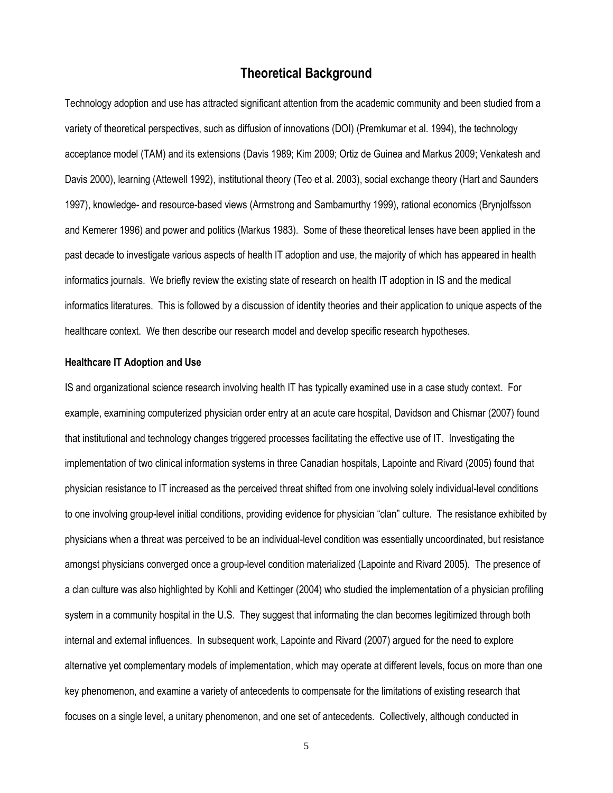# **Theoretical Background**

Technology adoption and use has attracted significant attention from the academic community and been studied from a variety of theoretical perspectives, such as diffusion of innovations (DOI) (Premkumar et al. 1994), the technology acceptance model (TAM) and its extensions (Davis 1989; Kim 2009; Ortiz de Guinea and Markus 2009; Venkatesh and Davis 2000), learning (Attewell 1992), institutional theory (Teo et al. 2003), social exchange theory (Hart and Saunders 1997), knowledge- and resource-based views (Armstrong and Sambamurthy 1999), rational economics (Brynjolfsson and Kemerer 1996) and power and politics (Markus 1983). Some of these theoretical lenses have been applied in the past decade to investigate various aspects of health IT adoption and use, the majority of which has appeared in health informatics journals. We briefly review the existing state of research on health IT adoption in IS and the medical informatics literatures. This is followed by a discussion of identity theories and their application to unique aspects of the healthcare context. We then describe our research model and develop specific research hypotheses.

### **Healthcare IT Adoption and Use**

IS and organizational science research involving health IT has typically examined use in a case study context. For example, examining computerized physician order entry at an acute care hospital, Davidson and Chismar (2007) found that institutional and technology changes triggered processes facilitating the effective use of IT. Investigating the implementation of two clinical information systems in three Canadian hospitals, Lapointe and Rivard (2005) found that physician resistance to IT increased as the perceived threat shifted from one involving solely individual-level conditions to one involving group-level initial conditions, providing evidence for physician "clan" culture. The resistance exhibited by physicians when a threat was perceived to be an individual-level condition was essentially uncoordinated, but resistance amongst physicians converged once a group-level condition materialized (Lapointe and Rivard 2005). The presence of a clan culture was also highlighted by Kohli and Kettinger (2004) who studied the implementation of a physician profiling system in a community hospital in the U.S. They suggest that informating the clan becomes legitimized through both internal and external influences. In subsequent work, Lapointe and Rivard (2007) argued for the need to explore alternative yet complementary models of implementation, which may operate at different levels, focus on more than one key phenomenon, and examine a variety of antecedents to compensate for the limitations of existing research that focuses on a single level, a unitary phenomenon, and one set of antecedents. Collectively, although conducted in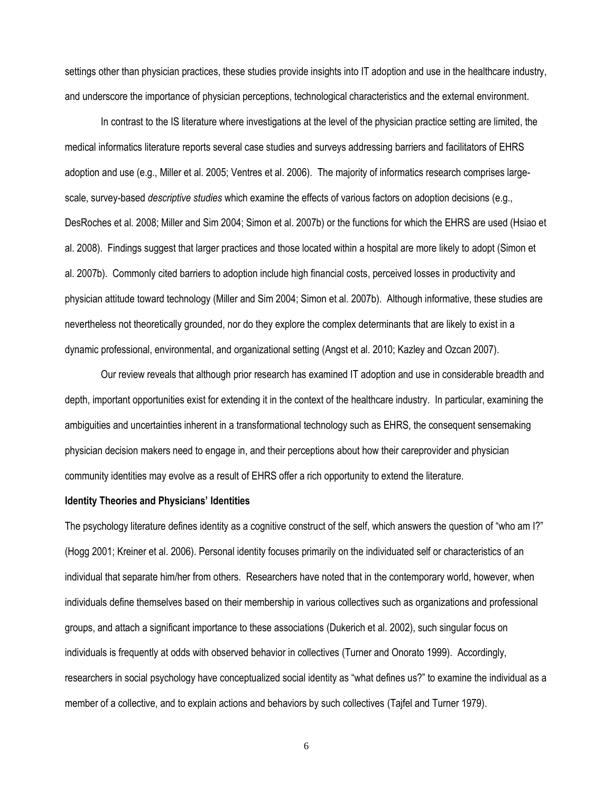settings other than physician practices, these studies provide insights into IT adoption and use in the healthcare industry, and underscore the importance of physician perceptions, technological characteristics and the external environment.

In contrast to the IS literature where investigations at the level of the physician practice setting are limited, the medical informatics literature reports several case studies and surveys addressing barriers and facilitators of EHRS adoption and use (e.g., Miller et al. 2005; Ventres et al. 2006). The majority of informatics research comprises largescale, survey-based *descriptive studies* which examine the effects of various factors on adoption decisions (e.g., DesRoches et al. 2008; Miller and Sim 2004; Simon et al. 2007b) or the functions for which the EHRS are used (Hsiao et al. 2008). Findings suggest that larger practices and those located within a hospital are more likely to adopt (Simon et al. 2007b). Commonly cited barriers to adoption include high financial costs, perceived losses in productivity and physician attitude toward technology (Miller and Sim 2004; Simon et al. 2007b). Although informative, these studies are nevertheless not theoretically grounded, nor do they explore the complex determinants that are likely to exist in a dynamic professional, environmental, and organizational setting (Angst et al. 2010; Kazley and Ozcan 2007).

Our review reveals that although prior research has examined IT adoption and use in considerable breadth and depth, important opportunities exist for extending it in the context of the healthcare industry. In particular, examining the ambiguities and uncertainties inherent in a transformational technology such as EHRS, the consequent sensemaking physician decision makers need to engage in, and their perceptions about how their careprovider and physician community identities may evolve as a result of EHRS offer a rich opportunity to extend the literature.

#### **Identity Theories and Physicians' Identities**

The psychology literature defines identity as a cognitive construct of the self, which answers the question of "who am I?" (Hogg 2001; Kreiner et al. 2006). Personal identity focuses primarily on the individuated self or characteristics of an individual that separate him/her from others. Researchers have noted that in the contemporary world, however, when individuals define themselves based on their membership in various collectives such as organizations and professional groups, and attach a significant importance to these associations (Dukerich et al. 2002), such singular focus on individuals is frequently at odds with observed behavior in collectives (Turner and Onorato 1999). Accordingly, researchers in social psychology have conceptualized social identity as "what defines us?" to examine the individual as a member of a collective, and to explain actions and behaviors by such collectives (Tajfel and Turner 1979).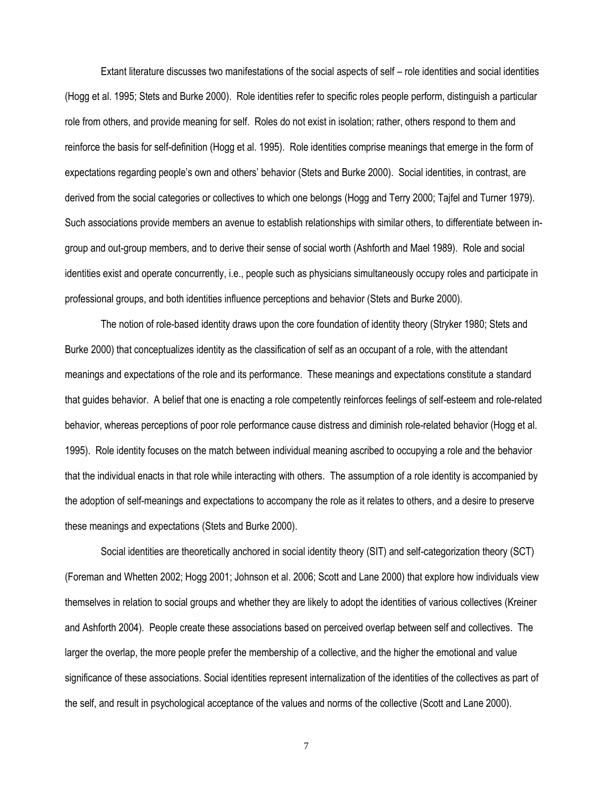Extant literature discusses two manifestations of the social aspects of self – role identities and social identities (Hogg et al. 1995; Stets and Burke 2000). Role identities refer to specific roles people perform, distinguish a particular role from others, and provide meaning for self. Roles do not exist in isolation; rather, others respond to them and reinforce the basis for self-definition (Hogg et al. 1995). Role identities comprise meanings that emerge in the form of expectations regarding people's own and others' behavior (Stets and Burke 2000). Social identities, in contrast, are derived from the social categories or collectives to which one belongs (Hogg and Terry 2000; Tajfel and Turner 1979). Such associations provide members an avenue to establish relationships with similar others, to differentiate between ingroup and out-group members, and to derive their sense of social worth (Ashforth and Mael 1989). Role and social identities exist and operate concurrently, i.e., people such as physicians simultaneously occupy roles and participate in professional groups, and both identities influence perceptions and behavior (Stets and Burke 2000).

The notion of role-based identity draws upon the core foundation of identity theory (Stryker 1980; Stets and Burke 2000) that conceptualizes identity as the classification of self as an occupant of a role, with the attendant meanings and expectations of the role and its performance. These meanings and expectations constitute a standard that guides behavior. A belief that one is enacting a role competently reinforces feelings of self-esteem and role-related behavior, whereas perceptions of poor role performance cause distress and diminish role-related behavior (Hogg et al. 1995). Role identity focuses on the match between individual meaning ascribed to occupying a role and the behavior that the individual enacts in that role while interacting with others. The assumption of a role identity is accompanied by the adoption of self-meanings and expectations to accompany the role as it relates to others, and a desire to preserve these meanings and expectations (Stets and Burke 2000).

Social identities are theoretically anchored in social identity theory (SIT) and self-categorization theory (SCT) (Foreman and Whetten 2002; Hogg 2001; Johnson et al. 2006; Scott and Lane 2000) that explore how individuals view themselves in relation to social groups and whether they are likely to adopt the identities of various collectives (Kreiner and Ashforth 2004). People create these associations based on perceived overlap between self and collectives. The larger the overlap, the more people prefer the membership of a collective, and the higher the emotional and value significance of these associations. Social identities represent internalization of the identities of the collectives as part of the self, and result in psychological acceptance of the values and norms of the collective (Scott and Lane 2000).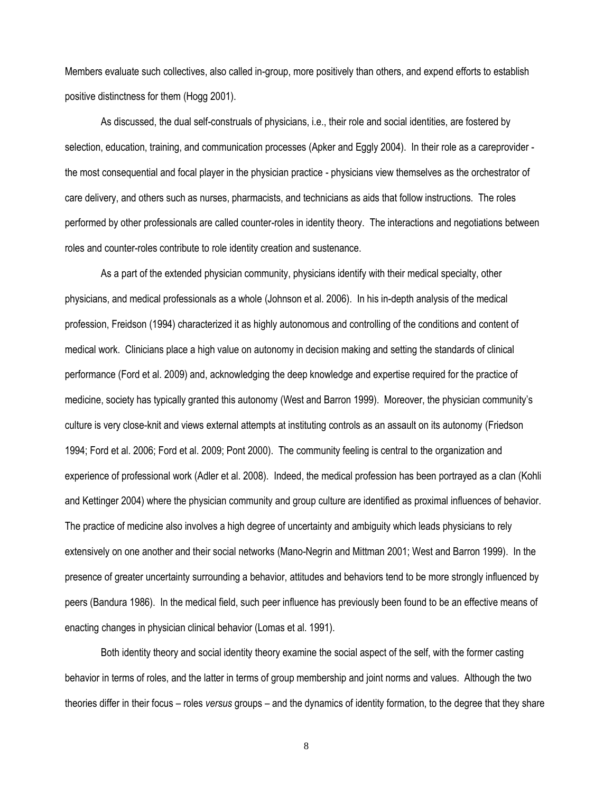Members evaluate such collectives, also called in-group, more positively than others, and expend efforts to establish positive distinctness for them (Hogg 2001).

As discussed, the dual self-construals of physicians, i.e., their role and social identities, are fostered by selection, education, training, and communication processes (Apker and Eggly 2004). In their role as a careprovider the most consequential and focal player in the physician practice - physicians view themselves as the orchestrator of care delivery, and others such as nurses, pharmacists, and technicians as aids that follow instructions. The roles performed by other professionals are called counter-roles in identity theory. The interactions and negotiations between roles and counter-roles contribute to role identity creation and sustenance.

As a part of the extended physician community, physicians identify with their medical specialty, other physicians, and medical professionals as a whole (Johnson et al. 2006). In his in-depth analysis of the medical profession, Freidson (1994) characterized it as highly autonomous and controlling of the conditions and content of medical work. Clinicians place a high value on autonomy in decision making and setting the standards of clinical performance (Ford et al. 2009) and, acknowledging the deep knowledge and expertise required for the practice of medicine, society has typically granted this autonomy (West and Barron 1999). Moreover, the physician community's culture is very close-knit and views external attempts at instituting controls as an assault on its autonomy (Friedson 1994; Ford et al. 2006; Ford et al. 2009; Pont 2000). The community feeling is central to the organization and experience of professional work (Adler et al. 2008). Indeed, the medical profession has been portrayed as a clan (Kohli and Kettinger 2004) where the physician community and group culture are identified as proximal influences of behavior. The practice of medicine also involves a high degree of uncertainty and ambiguity which leads physicians to rely extensively on one another and their social networks (Mano-Negrin and Mittman 2001; West and Barron 1999). In the presence of greater uncertainty surrounding a behavior, attitudes and behaviors tend to be more strongly influenced by peers (Bandura 1986). In the medical field, such peer influence has previously been found to be an effective means of enacting changes in physician clinical behavior (Lomas et al. 1991).

Both identity theory and social identity theory examine the social aspect of the self, with the former casting behavior in terms of roles, and the latter in terms of group membership and joint norms and values. Although the two theories differ in their focus – roles *versus* groups – and the dynamics of identity formation, to the degree that they share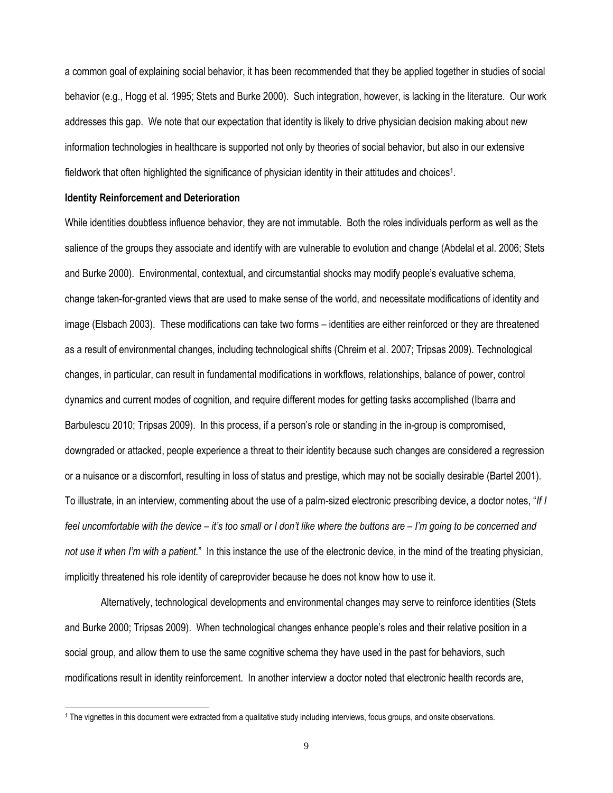a common goal of explaining social behavior, it has been recommended that they be applied together in studies of social behavior (e.g., Hogg et al. 1995; Stets and Burke 2000). Such integration, however, is lacking in the literature. Our work addresses this gap. We note that our expectation that identity is likely to drive physician decision making about new information technologies in healthcare is supported not only by theories of social behavior, but also in our extensive fieldwork that often highlighted the significance of physician identity in their attitudes and choices<sup>1</sup>.

#### **Identity Reinforcement and Deterioration**

l

While identities doubtless influence behavior, they are not immutable. Both the roles individuals perform as well as the salience of the groups they associate and identify with are vulnerable to evolution and change (Abdelal et al. 2006; Stets and Burke 2000). Environmental, contextual, and circumstantial shocks may modify people's evaluative schema, change taken-for-granted views that are used to make sense of the world, and necessitate modifications of identity and image (Elsbach 2003). These modifications can take two forms – identities are either reinforced or they are threatened as a result of environmental changes, including technological shifts (Chreim et al. 2007; Tripsas 2009). Technological changes, in particular, can result in fundamental modifications in workflows, relationships, balance of power, control dynamics and current modes of cognition, and require different modes for getting tasks accomplished (Ibarra and Barbulescu 2010; Tripsas 2009). In this process, if a person's role or standing in the in-group is compromised, downgraded or attacked, people experience a threat to their identity because such changes are considered a regression or a nuisance or a discomfort, resulting in loss of status and prestige, which may not be socially desirable (Bartel 2001). To illustrate, in an interview, commenting about the use of a palm-sized electronic prescribing device, a doctor notes, "*If I feel uncomfortable with the device – it's too small or I don't like where the buttons are – I'm going to be concerned and not use it when I'm with a patient.*" In this instance the use of the electronic device, in the mind of the treating physician, implicitly threatened his role identity of careprovider because he does not know how to use it.

Alternatively, technological developments and environmental changes may serve to reinforce identities (Stets and Burke 2000; Tripsas 2009). When technological changes enhance people's roles and their relative position in a social group, and allow them to use the same cognitive schema they have used in the past for behaviors, such modifications result in identity reinforcement. In another interview a doctor noted that electronic health records are,

<sup>1</sup> The vignettes in this document were extracted from a qualitative study including interviews, focus groups, and onsite observations.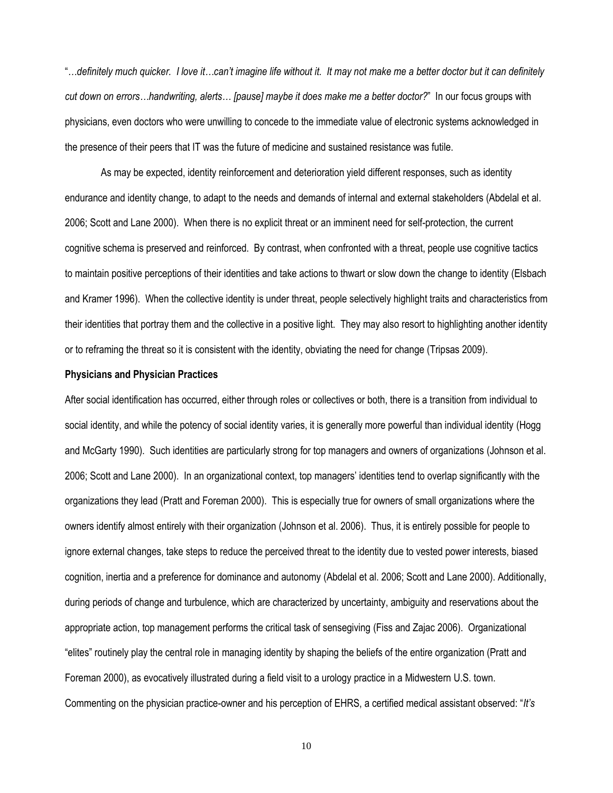"*…definitely much quicker. I love it…can't imagine life without it. It may not make me a better doctor but it can definitely cut down on errors…handwriting, alerts… [pause] maybe it does make me a better doctor?*" In our focus groups with physicians, even doctors who were unwilling to concede to the immediate value of electronic systems acknowledged in the presence of their peers that IT was the future of medicine and sustained resistance was futile.

As may be expected, identity reinforcement and deterioration yield different responses, such as identity endurance and identity change, to adapt to the needs and demands of internal and external stakeholders (Abdelal et al. 2006; Scott and Lane 2000). When there is no explicit threat or an imminent need for self-protection, the current cognitive schema is preserved and reinforced. By contrast, when confronted with a threat, people use cognitive tactics to maintain positive perceptions of their identities and take actions to thwart or slow down the change to identity (Elsbach and Kramer 1996). When the collective identity is under threat, people selectively highlight traits and characteristics from their identities that portray them and the collective in a positive light. They may also resort to highlighting another identity or to reframing the threat so it is consistent with the identity, obviating the need for change (Tripsas 2009).

#### **Physicians and Physician Practices**

After social identification has occurred, either through roles or collectives or both, there is a transition from individual to social identity, and while the potency of social identity varies, it is generally more powerful than individual identity (Hogg and McGarty 1990). Such identities are particularly strong for top managers and owners of organizations (Johnson et al. 2006; Scott and Lane 2000). In an organizational context, top managers' identities tend to overlap significantly with the organizations they lead (Pratt and Foreman 2000). This is especially true for owners of small organizations where the owners identify almost entirely with their organization (Johnson et al. 2006). Thus, it is entirely possible for people to ignore external changes, take steps to reduce the perceived threat to the identity due to vested power interests, biased cognition, inertia and a preference for dominance and autonomy (Abdelal et al. 2006; Scott and Lane 2000). Additionally, during periods of change and turbulence, which are characterized by uncertainty, ambiguity and reservations about the appropriate action, top management performs the critical task of sensegiving (Fiss and Zajac 2006). Organizational "elites" routinely play the central role in managing identity by shaping the beliefs of the entire organization (Pratt and Foreman 2000), as evocatively illustrated during a field visit to a urology practice in a Midwestern U.S. town. Commenting on the physician practice-owner and his perception of EHRS, a certified medical assistant observed: "*It's*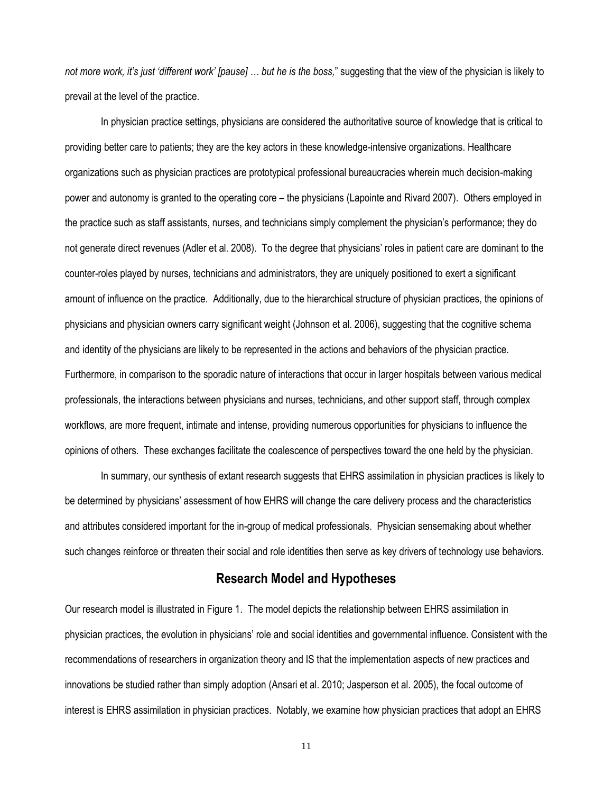*not more work, it's just 'different work' [pause] … but he is the boss,*" suggesting that the view of the physician is likely to prevail at the level of the practice.

In physician practice settings, physicians are considered the authoritative source of knowledge that is critical to providing better care to patients; they are the key actors in these knowledge-intensive organizations. Healthcare organizations such as physician practices are prototypical professional bureaucracies wherein much decision-making power and autonomy is granted to the operating core – the physicians (Lapointe and Rivard 2007). Others employed in the practice such as staff assistants, nurses, and technicians simply complement the physician's performance; they do not generate direct revenues (Adler et al. 2008). To the degree that physicians' roles in patient care are dominant to the counter-roles played by nurses, technicians and administrators, they are uniquely positioned to exert a significant amount of influence on the practice. Additionally, due to the hierarchical structure of physician practices, the opinions of physicians and physician owners carry significant weight (Johnson et al. 2006), suggesting that the cognitive schema and identity of the physicians are likely to be represented in the actions and behaviors of the physician practice. Furthermore, in comparison to the sporadic nature of interactions that occur in larger hospitals between various medical professionals, the interactions between physicians and nurses, technicians, and other support staff, through complex workflows, are more frequent, intimate and intense, providing numerous opportunities for physicians to influence the opinions of others. These exchanges facilitate the coalescence of perspectives toward the one held by the physician.

In summary, our synthesis of extant research suggests that EHRS assimilation in physician practices is likely to be determined by physicians' assessment of how EHRS will change the care delivery process and the characteristics and attributes considered important for the in-group of medical professionals. Physician sensemaking about whether such changes reinforce or threaten their social and role identities then serve as key drivers of technology use behaviors.

# **Research Model and Hypotheses**

Our research model is illustrated in Figure 1. The model depicts the relationship between EHRS assimilation in physician practices, the evolution in physicians' role and social identities and governmental influence. Consistent with the recommendations of researchers in organization theory and IS that the implementation aspects of new practices and innovations be studied rather than simply adoption (Ansari et al. 2010; Jasperson et al. 2005), the focal outcome of interest is EHRS assimilation in physician practices. Notably, we examine how physician practices that adopt an EHRS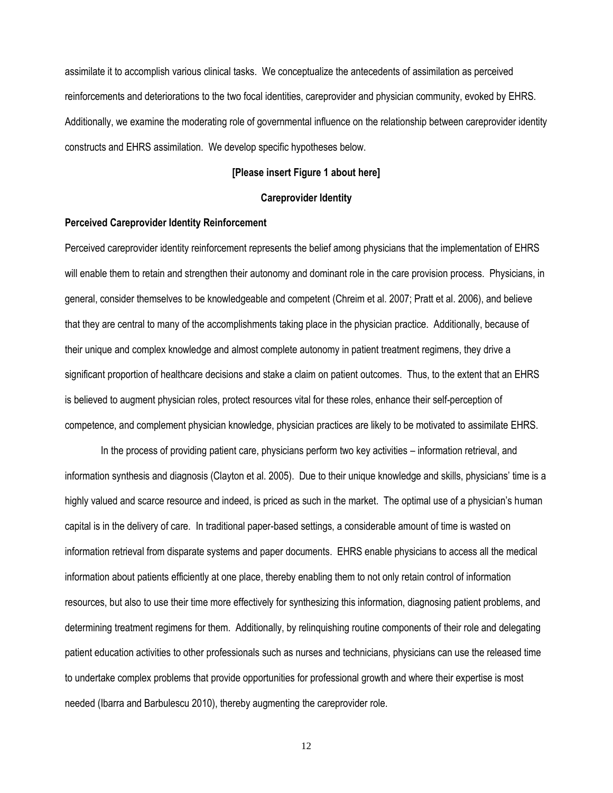assimilate it to accomplish various clinical tasks. We conceptualize the antecedents of assimilation as perceived reinforcements and deteriorations to the two focal identities, careprovider and physician community, evoked by EHRS. Additionally, we examine the moderating role of governmental influence on the relationship between careprovider identity constructs and EHRS assimilation. We develop specific hypotheses below.

## **[Please insert Figure 1 about here]**

### **Careprovider Identity**

#### **Perceived Careprovider Identity Reinforcement**

Perceived careprovider identity reinforcement represents the belief among physicians that the implementation of EHRS will enable them to retain and strengthen their autonomy and dominant role in the care provision process. Physicians, in general, consider themselves to be knowledgeable and competent (Chreim et al. 2007; Pratt et al. 2006), and believe that they are central to many of the accomplishments taking place in the physician practice. Additionally, because of their unique and complex knowledge and almost complete autonomy in patient treatment regimens, they drive a significant proportion of healthcare decisions and stake a claim on patient outcomes. Thus, to the extent that an EHRS is believed to augment physician roles, protect resources vital for these roles, enhance their self-perception of competence, and complement physician knowledge, physician practices are likely to be motivated to assimilate EHRS.

In the process of providing patient care, physicians perform two key activities – information retrieval, and information synthesis and diagnosis (Clayton et al. 2005). Due to their unique knowledge and skills, physicians' time is a highly valued and scarce resource and indeed, is priced as such in the market. The optimal use of a physician's human capital is in the delivery of care. In traditional paper-based settings, a considerable amount of time is wasted on information retrieval from disparate systems and paper documents. EHRS enable physicians to access all the medical information about patients efficiently at one place, thereby enabling them to not only retain control of information resources, but also to use their time more effectively for synthesizing this information, diagnosing patient problems, and determining treatment regimens for them. Additionally, by relinquishing routine components of their role and delegating patient education activities to other professionals such as nurses and technicians, physicians can use the released time to undertake complex problems that provide opportunities for professional growth and where their expertise is most needed (Ibarra and Barbulescu 2010), thereby augmenting the careprovider role.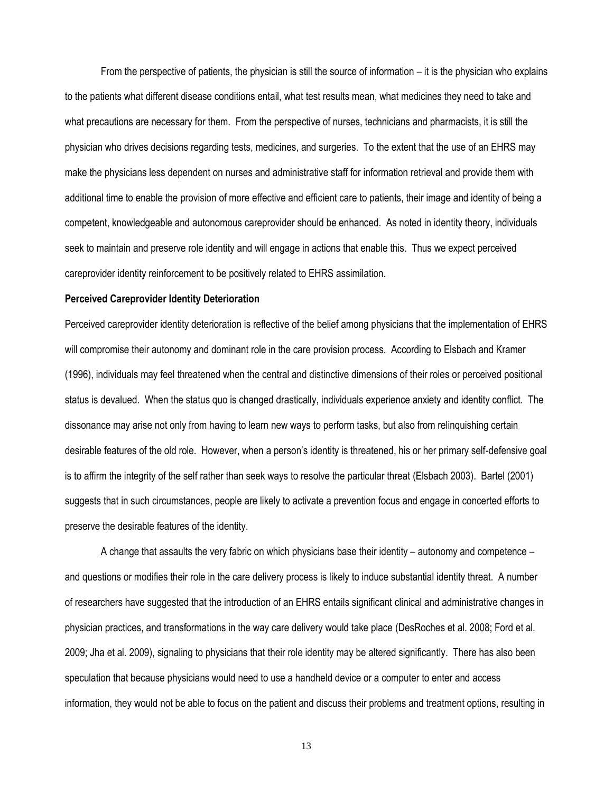From the perspective of patients, the physician is still the source of information – it is the physician who explains to the patients what different disease conditions entail, what test results mean, what medicines they need to take and what precautions are necessary for them. From the perspective of nurses, technicians and pharmacists, it is still the physician who drives decisions regarding tests, medicines, and surgeries. To the extent that the use of an EHRS may make the physicians less dependent on nurses and administrative staff for information retrieval and provide them with additional time to enable the provision of more effective and efficient care to patients, their image and identity of being a competent, knowledgeable and autonomous careprovider should be enhanced. As noted in identity theory, individuals seek to maintain and preserve role identity and will engage in actions that enable this. Thus we expect perceived careprovider identity reinforcement to be positively related to EHRS assimilation.

#### **Perceived Careprovider Identity Deterioration**

Perceived careprovider identity deterioration is reflective of the belief among physicians that the implementation of EHRS will compromise their autonomy and dominant role in the care provision process. According to Elsbach and Kramer (1996), individuals may feel threatened when the central and distinctive dimensions of their roles or perceived positional status is devalued. When the status quo is changed drastically, individuals experience anxiety and identity conflict. The dissonance may arise not only from having to learn new ways to perform tasks, but also from relinquishing certain desirable features of the old role. However, when a person's identity is threatened, his or her primary self-defensive goal is to affirm the integrity of the self rather than seek ways to resolve the particular threat (Elsbach 2003). Bartel (2001) suggests that in such circumstances, people are likely to activate a prevention focus and engage in concerted efforts to preserve the desirable features of the identity.

A change that assaults the very fabric on which physicians base their identity – autonomy and competence – and questions or modifies their role in the care delivery process is likely to induce substantial identity threat. A number of researchers have suggested that the introduction of an EHRS entails significant clinical and administrative changes in physician practices, and transformations in the way care delivery would take place (DesRoches et al. 2008; Ford et al. 2009; Jha et al. 2009), signaling to physicians that their role identity may be altered significantly. There has also been speculation that because physicians would need to use a handheld device or a computer to enter and access information, they would not be able to focus on the patient and discuss their problems and treatment options, resulting in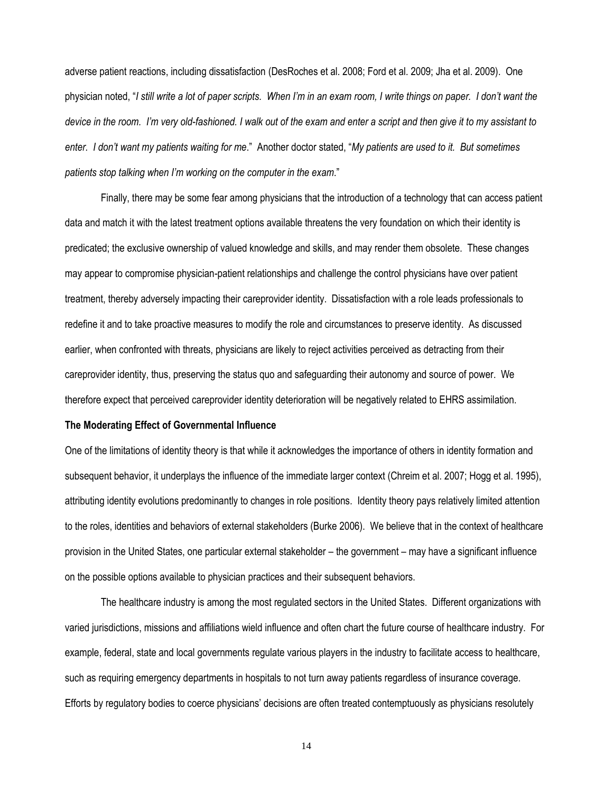adverse patient reactions, including dissatisfaction (DesRoches et al. 2008; Ford et al. 2009; Jha et al. 2009). One physician noted, "*I still write a lot of paper scripts. When I'm in an exam room, I write things on paper. I don't want the device in the room. I'm very old-fashioned. I walk out of the exam and enter a script and then give it to my assistant to enter. I don't want my patients waiting for me*." Another doctor stated, "*My patients are used to it. But sometimes patients stop talking when I'm working on the computer in the exam*."

Finally, there may be some fear among physicians that the introduction of a technology that can access patient data and match it with the latest treatment options available threatens the very foundation on which their identity is predicated; the exclusive ownership of valued knowledge and skills, and may render them obsolete. These changes may appear to compromise physician-patient relationships and challenge the control physicians have over patient treatment, thereby adversely impacting their careprovider identity. Dissatisfaction with a role leads professionals to redefine it and to take proactive measures to modify the role and circumstances to preserve identity. As discussed earlier, when confronted with threats, physicians are likely to reject activities perceived as detracting from their careprovider identity, thus, preserving the status quo and safeguarding their autonomy and source of power. We therefore expect that perceived careprovider identity deterioration will be negatively related to EHRS assimilation.

#### **The Moderating Effect of Governmental Influence**

One of the limitations of identity theory is that while it acknowledges the importance of others in identity formation and subsequent behavior, it underplays the influence of the immediate larger context (Chreim et al. 2007; Hogg et al. 1995), attributing identity evolutions predominantly to changes in role positions. Identity theory pays relatively limited attention to the roles, identities and behaviors of external stakeholders (Burke 2006). We believe that in the context of healthcare provision in the United States, one particular external stakeholder – the government – may have a significant influence on the possible options available to physician practices and their subsequent behaviors.

The healthcare industry is among the most regulated sectors in the United States. Different organizations with varied jurisdictions, missions and affiliations wield influence and often chart the future course of healthcare industry. For example, federal, state and local governments regulate various players in the industry to facilitate access to healthcare, such as requiring emergency departments in hospitals to not turn away patients regardless of insurance coverage. Efforts by regulatory bodies to coerce physicians' decisions are often treated contemptuously as physicians resolutely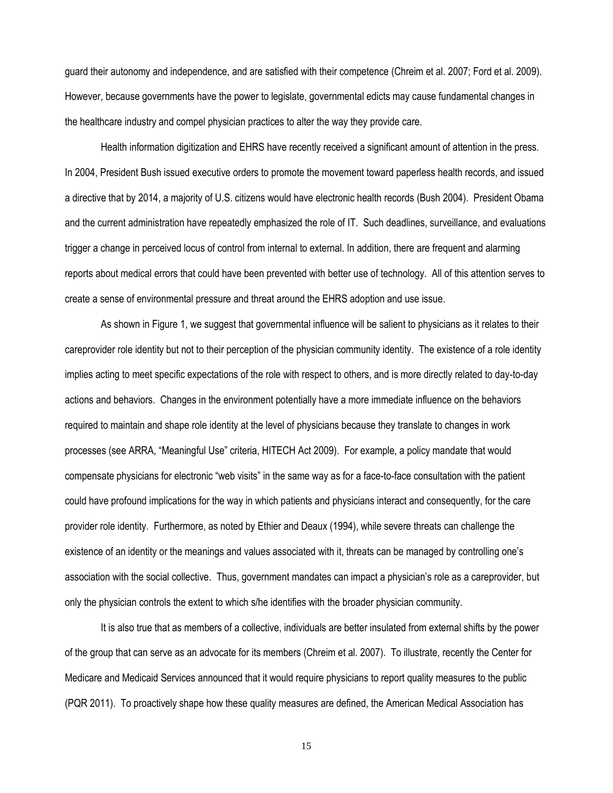guard their autonomy and independence, and are satisfied with their competence (Chreim et al. 2007; Ford et al. 2009). However, because governments have the power to legislate, governmental edicts may cause fundamental changes in the healthcare industry and compel physician practices to alter the way they provide care.

Health information digitization and EHRS have recently received a significant amount of attention in the press. In 2004, President Bush issued executive orders to promote the movement toward paperless health records, and issued a directive that by 2014, a majority of U.S. citizens would have electronic health records (Bush 2004). President Obama and the current administration have repeatedly emphasized the role of IT. Such deadlines, surveillance, and evaluations trigger a change in perceived locus of control from internal to external. In addition, there are frequent and alarming reports about medical errors that could have been prevented with better use of technology. All of this attention serves to create a sense of environmental pressure and threat around the EHRS adoption and use issue.

As shown in Figure 1, we suggest that governmental influence will be salient to physicians as it relates to their careprovider role identity but not to their perception of the physician community identity. The existence of a role identity implies acting to meet specific expectations of the role with respect to others, and is more directly related to day-to-day actions and behaviors. Changes in the environment potentially have a more immediate influence on the behaviors required to maintain and shape role identity at the level of physicians because they translate to changes in work processes (see ARRA, "Meaningful Use" criteria, HITECH Act 2009). For example, a policy mandate that would compensate physicians for electronic "web visits" in the same way as for a face-to-face consultation with the patient could have profound implications for the way in which patients and physicians interact and consequently, for the care provider role identity. Furthermore, as noted by Ethier and Deaux (1994), while severe threats can challenge the existence of an identity or the meanings and values associated with it, threats can be managed by controlling one's association with the social collective. Thus, government mandates can impact a physician's role as a careprovider, but only the physician controls the extent to which s/he identifies with the broader physician community.

It is also true that as members of a collective, individuals are better insulated from external shifts by the power of the group that can serve as an advocate for its members (Chreim et al. 2007). To illustrate, recently the Center for Medicare and Medicaid Services announced that it would require physicians to report quality measures to the public (PQR 2011). To proactively shape how these quality measures are defined, the American Medical Association has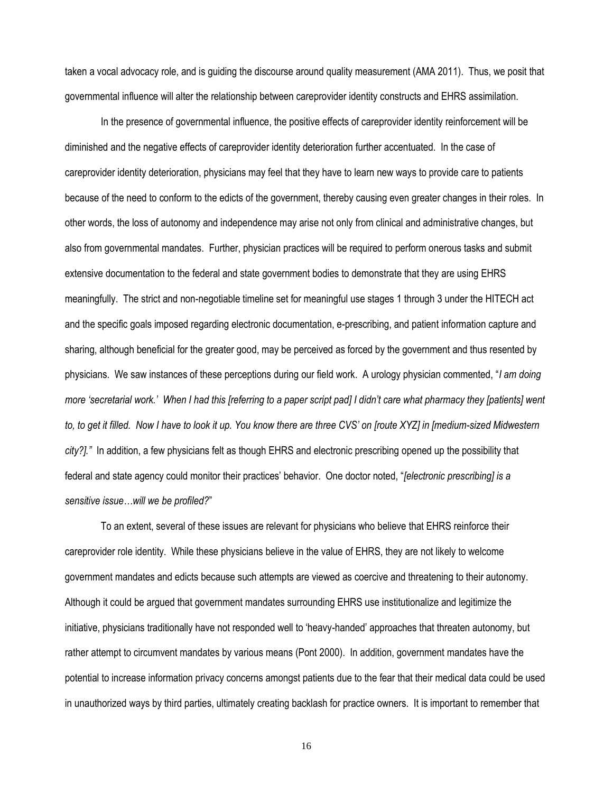taken a vocal advocacy role, and is guiding the discourse around quality measurement (AMA 2011). Thus, we posit that governmental influence will alter the relationship between careprovider identity constructs and EHRS assimilation.

In the presence of governmental influence, the positive effects of careprovider identity reinforcement will be diminished and the negative effects of careprovider identity deterioration further accentuated. In the case of careprovider identity deterioration, physicians may feel that they have to learn new ways to provide care to patients because of the need to conform to the edicts of the government, thereby causing even greater changes in their roles. In other words, the loss of autonomy and independence may arise not only from clinical and administrative changes, but also from governmental mandates. Further, physician practices will be required to perform onerous tasks and submit extensive documentation to the federal and state government bodies to demonstrate that they are using EHRS meaningfully. The strict and non-negotiable timeline set for meaningful use stages 1 through 3 under the HITECH act and the specific goals imposed regarding electronic documentation, e-prescribing, and patient information capture and sharing, although beneficial for the greater good, may be perceived as forced by the government and thus resented by physicians. We saw instances of these perceptions during our field work. A urology physician commented, "*I am doing more 'secretarial work.' When I had this [referring to a paper script pad] I didn't care what pharmacy they [patients] went to, to get it filled. Now I have to look it up. You know there are three CVS' on [route XYZ] in [medium-sized Midwestern city?]."* In addition, a few physicians felt as though EHRS and electronic prescribing opened up the possibility that federal and state agency could monitor their practices' behavior. One doctor noted, "*[electronic prescribing] is a sensitive issue…will we be profiled?*"

To an extent, several of these issues are relevant for physicians who believe that EHRS reinforce their careprovider role identity. While these physicians believe in the value of EHRS, they are not likely to welcome government mandates and edicts because such attempts are viewed as coercive and threatening to their autonomy. Although it could be argued that government mandates surrounding EHRS use institutionalize and legitimize the initiative, physicians traditionally have not responded well to 'heavy-handed' approaches that threaten autonomy, but rather attempt to circumvent mandates by various means (Pont 2000). In addition, government mandates have the potential to increase information privacy concerns amongst patients due to the fear that their medical data could be used in unauthorized ways by third parties, ultimately creating backlash for practice owners. It is important to remember that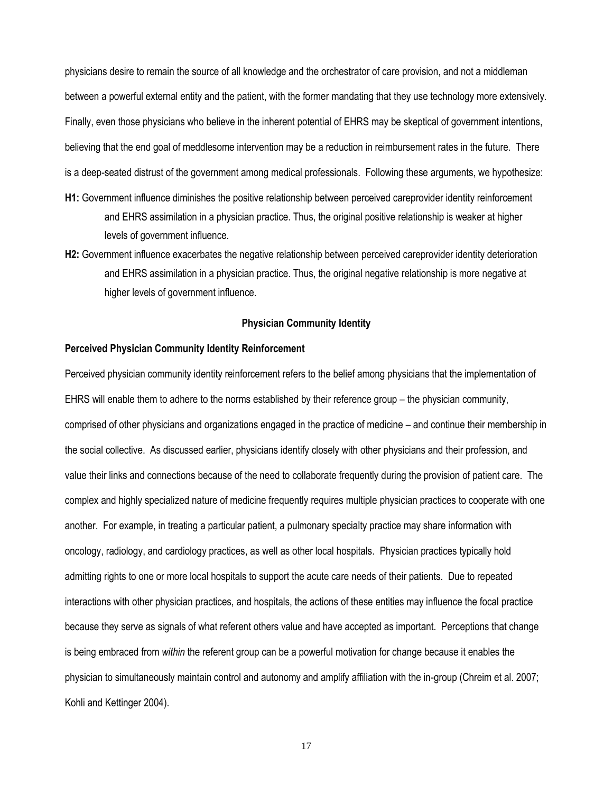physicians desire to remain the source of all knowledge and the orchestrator of care provision, and not a middleman between a powerful external entity and the patient, with the former mandating that they use technology more extensively. Finally, even those physicians who believe in the inherent potential of EHRS may be skeptical of government intentions, believing that the end goal of meddlesome intervention may be a reduction in reimbursement rates in the future. There is a deep-seated distrust of the government among medical professionals. Following these arguments, we hypothesize:

- **H1:** Government influence diminishes the positive relationship between perceived careprovider identity reinforcement and EHRS assimilation in a physician practice. Thus, the original positive relationship is weaker at higher levels of government influence.
- **H2:** Government influence exacerbates the negative relationship between perceived careprovider identity deterioration and EHRS assimilation in a physician practice. Thus, the original negative relationship is more negative at higher levels of government influence.

#### **Physician Community Identity**

#### **Perceived Physician Community Identity Reinforcement**

Perceived physician community identity reinforcement refers to the belief among physicians that the implementation of EHRS will enable them to adhere to the norms established by their reference group – the physician community, comprised of other physicians and organizations engaged in the practice of medicine – and continue their membership in the social collective. As discussed earlier, physicians identify closely with other physicians and their profession, and value their links and connections because of the need to collaborate frequently during the provision of patient care. The complex and highly specialized nature of medicine frequently requires multiple physician practices to cooperate with one another. For example, in treating a particular patient, a pulmonary specialty practice may share information with oncology, radiology, and cardiology practices, as well as other local hospitals. Physician practices typically hold admitting rights to one or more local hospitals to support the acute care needs of their patients. Due to repeated interactions with other physician practices, and hospitals, the actions of these entities may influence the focal practice because they serve as signals of what referent others value and have accepted as important. Perceptions that change is being embraced from *within* the referent group can be a powerful motivation for change because it enables the physician to simultaneously maintain control and autonomy and amplify affiliation with the in-group (Chreim et al. 2007; Kohli and Kettinger 2004).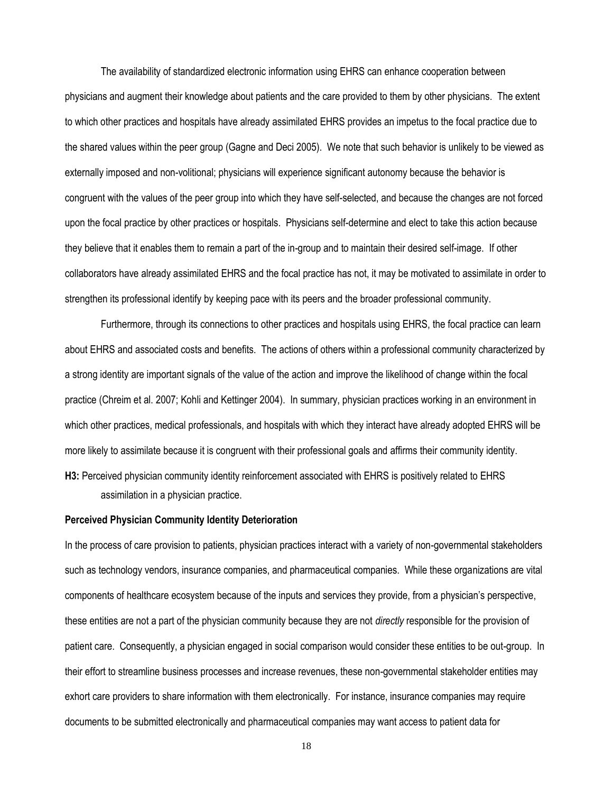The availability of standardized electronic information using EHRS can enhance cooperation between physicians and augment their knowledge about patients and the care provided to them by other physicians. The extent to which other practices and hospitals have already assimilated EHRS provides an impetus to the focal practice due to the shared values within the peer group (Gagne and Deci 2005). We note that such behavior is unlikely to be viewed as externally imposed and non-volitional; physicians will experience significant autonomy because the behavior is congruent with the values of the peer group into which they have self-selected, and because the changes are not forced upon the focal practice by other practices or hospitals. Physicians self-determine and elect to take this action because they believe that it enables them to remain a part of the in-group and to maintain their desired self-image. If other collaborators have already assimilated EHRS and the focal practice has not, it may be motivated to assimilate in order to strengthen its professional identify by keeping pace with its peers and the broader professional community.

Furthermore, through its connections to other practices and hospitals using EHRS, the focal practice can learn about EHRS and associated costs and benefits. The actions of others within a professional community characterized by a strong identity are important signals of the value of the action and improve the likelihood of change within the focal practice (Chreim et al. 2007; Kohli and Kettinger 2004). In summary, physician practices working in an environment in which other practices, medical professionals, and hospitals with which they interact have already adopted EHRS will be more likely to assimilate because it is congruent with their professional goals and affirms their community identity. **H3:** Perceived physician community identity reinforcement associated with EHRS is positively related to EHRS

assimilation in a physician practice.

### **Perceived Physician Community Identity Deterioration**

In the process of care provision to patients, physician practices interact with a variety of non-governmental stakeholders such as technology vendors, insurance companies, and pharmaceutical companies. While these organizations are vital components of healthcare ecosystem because of the inputs and services they provide, from a physician's perspective, these entities are not a part of the physician community because they are not *directly* responsible for the provision of patient care. Consequently, a physician engaged in social comparison would consider these entities to be out-group. In their effort to streamline business processes and increase revenues, these non-governmental stakeholder entities may exhort care providers to share information with them electronically. For instance, insurance companies may require documents to be submitted electronically and pharmaceutical companies may want access to patient data for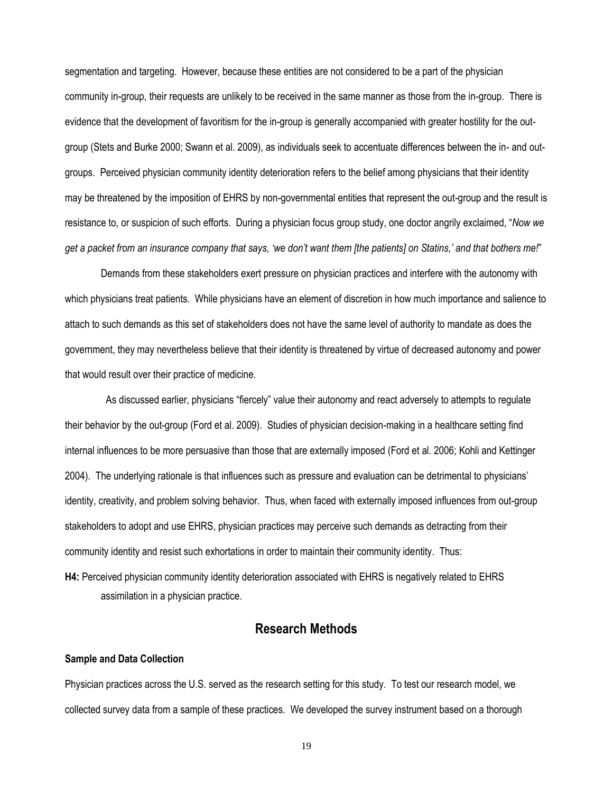segmentation and targeting. However, because these entities are not considered to be a part of the physician community in-group, their requests are unlikely to be received in the same manner as those from the in-group. There is evidence that the development of favoritism for the in-group is generally accompanied with greater hostility for the outgroup (Stets and Burke 2000; Swann et al. 2009), as individuals seek to accentuate differences between the in- and outgroups. Perceived physician community identity deterioration refers to the belief among physicians that their identity may be threatened by the imposition of EHRS by non-governmental entities that represent the out-group and the result is resistance to, or suspicion of such efforts. During a physician focus group study, one doctor angrily exclaimed, "*Now we get a packet from an insurance company that says, 'we don't want them [the patients] on Statins,' and that bothers me!*"

Demands from these stakeholders exert pressure on physician practices and interfere with the autonomy with which physicians treat patients. While physicians have an element of discretion in how much importance and salience to attach to such demands as this set of stakeholders does not have the same level of authority to mandate as does the government, they may nevertheless believe that their identity is threatened by virtue of decreased autonomy and power that would result over their practice of medicine.

 As discussed earlier, physicians "fiercely" value their autonomy and react adversely to attempts to regulate their behavior by the out-group (Ford et al. 2009). Studies of physician decision-making in a healthcare setting find internal influences to be more persuasive than those that are externally imposed (Ford et al. 2006; Kohli and Kettinger 2004). The underlying rationale is that influences such as pressure and evaluation can be detrimental to physicians' identity, creativity, and problem solving behavior. Thus, when faced with externally imposed influences from out-group stakeholders to adopt and use EHRS, physician practices may perceive such demands as detracting from their community identity and resist such exhortations in order to maintain their community identity. Thus:

**H4:** Perceived physician community identity deterioration associated with EHRS is negatively related to EHRS assimilation in a physician practice.

# **Research Methods**

#### **Sample and Data Collection**

Physician practices across the U.S. served as the research setting for this study. To test our research model, we collected survey data from a sample of these practices. We developed the survey instrument based on a thorough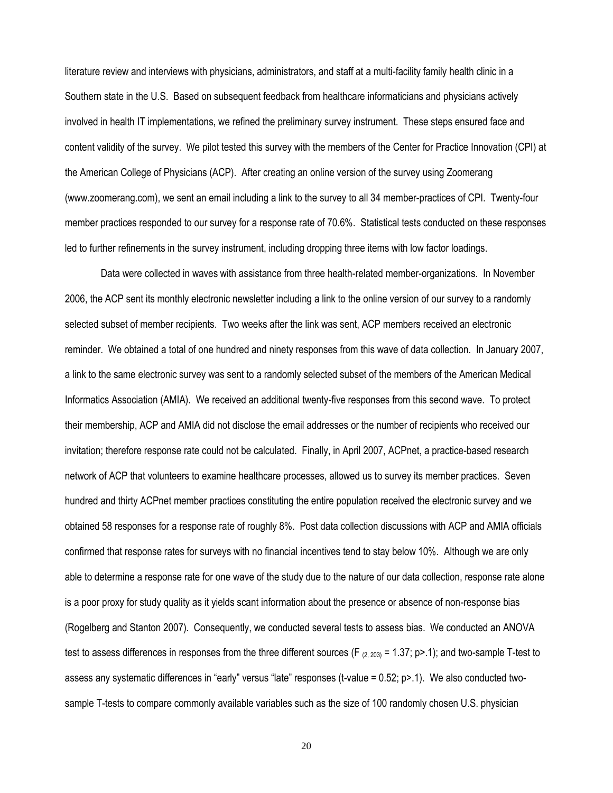literature review and interviews with physicians, administrators, and staff at a multi-facility family health clinic in a Southern state in the U.S. Based on subsequent feedback from healthcare informaticians and physicians actively involved in health IT implementations, we refined the preliminary survey instrument. These steps ensured face and content validity of the survey. We pilot tested this survey with the members of the Center for Practice Innovation (CPI) at the American College of Physicians (ACP). After creating an online version of the survey using Zoomerang [\(www.zoomerang.com\)](http://www.zoomerang.com/), we sent an email including a link to the survey to all 34 member-practices of CPI. Twenty-four member practices responded to our survey for a response rate of 70.6%. Statistical tests conducted on these responses led to further refinements in the survey instrument, including dropping three items with low factor loadings.

Data were collected in waves with assistance from three health-related member-organizations. In November 2006, the ACP sent its monthly electronic newsletter including a link to the online version of our survey to a randomly selected subset of member recipients. Two weeks after the link was sent, ACP members received an electronic reminder. We obtained a total of one hundred and ninety responses from this wave of data collection. In January 2007, a link to the same electronic survey was sent to a randomly selected subset of the members of the American Medical Informatics Association (AMIA). We received an additional twenty-five responses from this second wave. To protect their membership, ACP and AMIA did not disclose the email addresses or the number of recipients who received our invitation; therefore response rate could not be calculated. Finally, in April 2007, ACPnet, a practice-based research network of ACP that volunteers to examine healthcare processes, allowed us to survey its member practices. Seven hundred and thirty ACPnet member practices constituting the entire population received the electronic survey and we obtained 58 responses for a response rate of roughly 8%. Post data collection discussions with ACP and AMIA officials confirmed that response rates for surveys with no financial incentives tend to stay below 10%. Although we are only able to determine a response rate for one wave of the study due to the nature of our data collection, response rate alone is a poor proxy for study quality as it yields scant information about the presence or absence of non-response bias (Rogelberg and Stanton 2007). Consequently, we conducted several tests to assess bias. We conducted an ANOVA test to assess differences in responses from the three different sources (F  $_{(2, 203)}$  = 1.37; p>.1); and two-sample T-test to assess any systematic differences in "early" versus "late" responses (t-value = 0.52; p>.1). We also conducted twosample T-tests to compare commonly available variables such as the size of 100 randomly chosen U.S. physician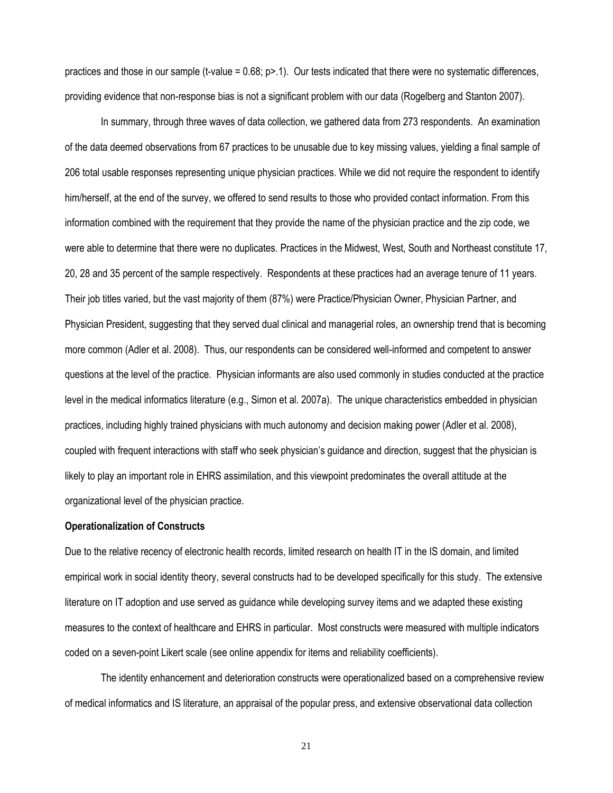practices and those in our sample (t-value = 0.68; p>.1). Our tests indicated that there were no systematic differences, providing evidence that non-response bias is not a significant problem with our data (Rogelberg and Stanton 2007).

In summary, through three waves of data collection, we gathered data from 273 respondents. An examination of the data deemed observations from 67 practices to be unusable due to key missing values, yielding a final sample of 206 total usable responses representing unique physician practices. While we did not require the respondent to identify him/herself, at the end of the survey, we offered to send results to those who provided contact information. From this information combined with the requirement that they provide the name of the physician practice and the zip code, we were able to determine that there were no duplicates. Practices in the Midwest, West, South and Northeast constitute 17, 20, 28 and 35 percent of the sample respectively. Respondents at these practices had an average tenure of 11 years. Their job titles varied, but the vast majority of them (87%) were Practice/Physician Owner, Physician Partner, and Physician President, suggesting that they served dual clinical and managerial roles, an ownership trend that is becoming more common (Adler et al. 2008). Thus, our respondents can be considered well-informed and competent to answer questions at the level of the practice. Physician informants are also used commonly in studies conducted at the practice level in the medical informatics literature (e.g., Simon et al. 2007a). The unique characteristics embedded in physician practices, including highly trained physicians with much autonomy and decision making power (Adler et al. 2008), coupled with frequent interactions with staff who seek physician's guidance and direction, suggest that the physician is likely to play an important role in EHRS assimilation, and this viewpoint predominates the overall attitude at the organizational level of the physician practice.

#### **Operationalization of Constructs**

Due to the relative recency of electronic health records, limited research on health IT in the IS domain, and limited empirical work in social identity theory, several constructs had to be developed specifically for this study. The extensive literature on IT adoption and use served as guidance while developing survey items and we adapted these existing measures to the context of healthcare and EHRS in particular. Most constructs were measured with multiple indicators coded on a seven-point Likert scale (see online appendix for items and reliability coefficients).

The identity enhancement and deterioration constructs were operationalized based on a comprehensive review of medical informatics and IS literature, an appraisal of the popular press, and extensive observational data collection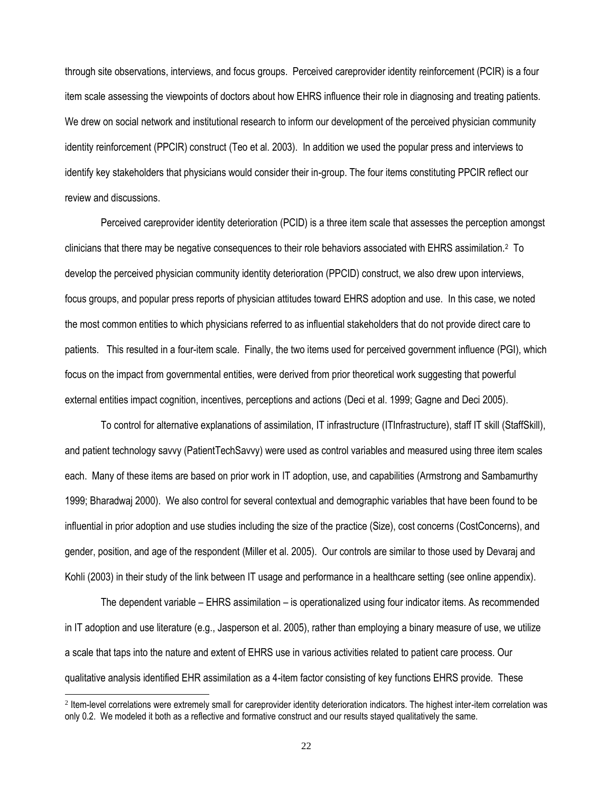through site observations, interviews, and focus groups. Perceived careprovider identity reinforcement (PCIR) is a four item scale assessing the viewpoints of doctors about how EHRS influence their role in diagnosing and treating patients. We drew on social network and institutional research to inform our development of the perceived physician community identity reinforcement (PPCIR) construct (Teo et al. 2003). In addition we used the popular press and interviews to identify key stakeholders that physicians would consider their in-group. The four items constituting PPCIR reflect our review and discussions.

Perceived careprovider identity deterioration (PCID) is a three item scale that assesses the perception amongst clinicians that there may be negative consequences to their role behaviors associated with EHRS assimilation.<sup>2</sup> To develop the perceived physician community identity deterioration (PPCID) construct, we also drew upon interviews, focus groups, and popular press reports of physician attitudes toward EHRS adoption and use. In this case, we noted the most common entities to which physicians referred to as influential stakeholders that do not provide direct care to patients. This resulted in a four-item scale. Finally, the two items used for perceived government influence (PGI), which focus on the impact from governmental entities, were derived from prior theoretical work suggesting that powerful external entities impact cognition, incentives, perceptions and actions (Deci et al. 1999; Gagne and Deci 2005).

To control for alternative explanations of assimilation, IT infrastructure (ITInfrastructure), staff IT skill (StaffSkill), and patient technology savvy (PatientTechSavvy) were used as control variables and measured using three item scales each. Many of these items are based on prior work in IT adoption, use, and capabilities (Armstrong and Sambamurthy 1999; Bharadwaj 2000). We also control for several contextual and demographic variables that have been found to be influential in prior adoption and use studies including the size of the practice (Size), cost concerns (CostConcerns), and gender, position, and age of the respondent (Miller et al. 2005). Our controls are similar to those used by Devaraj and Kohli (2003) in their study of the link between IT usage and performance in a healthcare setting (see online appendix).

The dependent variable – EHRS assimilation – is operationalized using four indicator items. As recommended in IT adoption and use literature (e.g., Jasperson et al. 2005), rather than employing a binary measure of use, we utilize a scale that taps into the nature and extent of EHRS use in various activities related to patient care process. Our qualitative analysis identified EHR assimilation as a 4-item factor consisting of key functions EHRS provide. These

l

<sup>2</sup> Item-level correlations were extremely small for careprovider identity deterioration indicators. The highest inter-item correlation was only 0.2. We modeled it both as a reflective and formative construct and our results stayed qualitatively the same.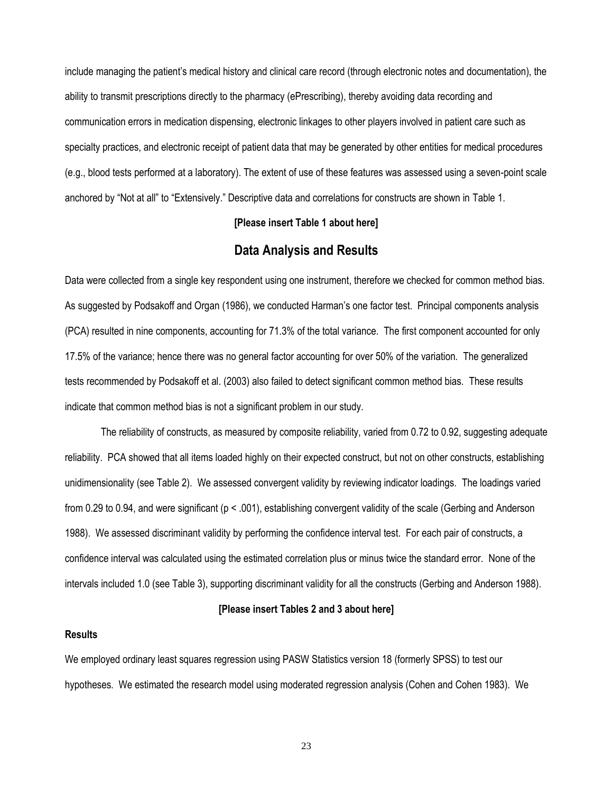include managing the patient's medical history and clinical care record (through electronic notes and documentation), the ability to transmit prescriptions directly to the pharmacy (ePrescribing), thereby avoiding data recording and communication errors in medication dispensing, electronic linkages to other players involved in patient care such as specialty practices, and electronic receipt of patient data that may be generated by other entities for medical procedures (e.g., blood tests performed at a laboratory). The extent of use of these features was assessed using a seven-point scale anchored by "Not at all" to "Extensively." Descriptive data and correlations for constructs are shown in Table 1.

### **[Please insert Table 1 about here]**

# **Data Analysis and Results**

Data were collected from a single key respondent using one instrument, therefore we checked for common method bias. As suggested by Podsakoff and Organ (1986), we conducted Harman's one factor test. Principal components analysis (PCA) resulted in nine components, accounting for 71.3% of the total variance. The first component accounted for only 17.5% of the variance; hence there was no general factor accounting for over 50% of the variation. The generalized tests recommended by Podsakoff et al. (2003) also failed to detect significant common method bias. These results indicate that common method bias is not a significant problem in our study.

The reliability of constructs, as measured by composite reliability, varied from 0.72 to 0.92, suggesting adequate reliability. PCA showed that all items loaded highly on their expected construct, but not on other constructs, establishing unidimensionality (see Table 2). We assessed convergent validity by reviewing indicator loadings. The loadings varied from 0.29 to 0.94, and were significant (p < .001), establishing convergent validity of the scale (Gerbing and Anderson 1988). We assessed discriminant validity by performing the confidence interval test. For each pair of constructs, a confidence interval was calculated using the estimated correlation plus or minus twice the standard error. None of the intervals included 1.0 (see Table 3), supporting discriminant validity for all the constructs (Gerbing and Anderson 1988).

### **[Please insert Tables 2 and 3 about here]**

### **Results**

We employed ordinary least squares regression using PASW Statistics version 18 (formerly SPSS) to test our hypotheses. We estimated the research model using moderated regression analysis (Cohen and Cohen 1983). We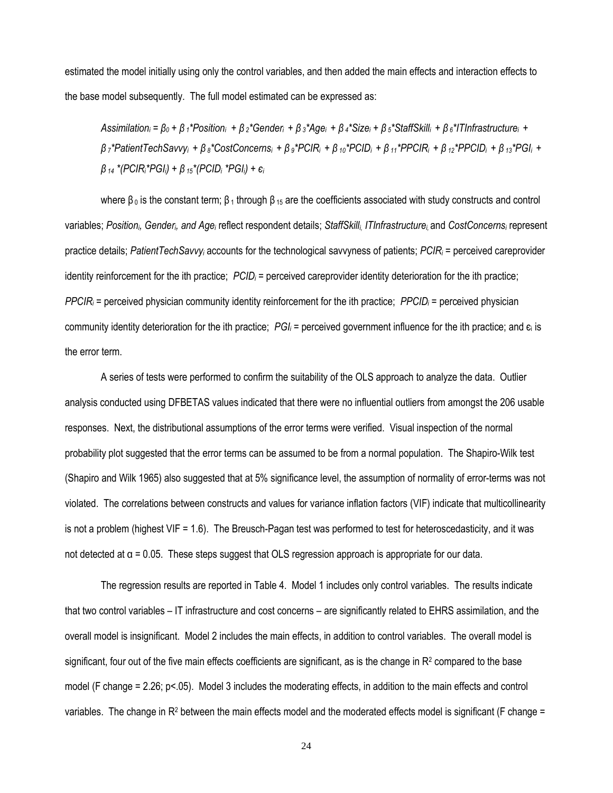estimated the model initially using only the control variables, and then added the main effects and interaction effects to the base model subsequently. The full model estimated can be expressed as:

Assimilation<sub>i</sub> =  $\beta_0$  +  $\beta_1$ <sup>\*</sup>Position<sub>i</sub> +  $\beta_2$ <sup>\*</sup>Gender<sub>i</sub> +  $\beta_3$ <sup>\*</sup>Age<sub>i</sub> +  $\beta_4$ <sup>\*</sup>Size<sub>i</sub> +  $\beta_5$ <sup>\*</sup>StaffSkill<sub>i</sub> +  $\beta_6$ <sup>\*</sup>ITInfrastructure<sub>i</sub> +  $\beta_7$ \*PatientTechSawy<sub>i</sub> +  $\beta_8$ \*CostConcerns<sub>i</sub> +  $\beta_9$ \*PCIR<sub>i</sub> +  $\beta_{10}$ \*PCID<sub>i</sub> +  $\beta_{11}$ \*PPCIR<sub>i</sub> +  $\beta_{12}$ \*PPCID<sub>i</sub> +  $\beta_{13}$ \*PGI<sub>i</sub> + *β <sup>14</sup> \*(PCIRi\*PGIi) + β <sup>15</sup>\*(PCID<sup>i</sup> \*PGIi) + є<sup>i</sup>*

where β<sub>0</sub> is the constant term; β<sub>1</sub> through β<sub>15</sub> are the coefficients associated with study constructs and control variables; *Positioni, Genderi, and Age<sup>i</sup>* reflect respondent details; *StaffSkilli, ITInfrastructurei,* and *CostConcerns<sup>i</sup>* represent practice details; *PatientTechSavvy<sup>i</sup>* accounts for the technological savvyness of patients; *PCIR<sup>i</sup>* = perceived careprovider identity reinforcement for the ith practice; *PCID<sup>i</sup>* = perceived careprovider identity deterioration for the ith practice; *PPCIR<sup>i</sup>* = perceived physician community identity reinforcement for the ith practice; *PPCID<sup>i</sup>* = perceived physician community identity deterioration for the ith practice;  $PGI_i$  = perceived government influence for the ith practice; and  $\varepsilon_i$  is the error term.

A series of tests were performed to confirm the suitability of the OLS approach to analyze the data. Outlier analysis conducted using DFBETAS values indicated that there were no influential outliers from amongst the 206 usable responses. Next, the distributional assumptions of the error terms were verified. Visual inspection of the normal probability plot suggested that the error terms can be assumed to be from a normal population. The Shapiro-Wilk test (Shapiro and Wilk 1965) also suggested that at 5% significance level, the assumption of normality of error-terms was not violated. The correlations between constructs and values for variance inflation factors (VIF) indicate that multicollinearity is not a problem (highest VIF = 1.6). The Breusch-Pagan test was performed to test for heteroscedasticity, and it was not detected at  $α = 0.05$ . These steps suggest that OLS regression approach is appropriate for our data.

The regression results are reported in Table 4. Model 1 includes only control variables. The results indicate that two control variables – IT infrastructure and cost concerns – are significantly related to EHRS assimilation, and the overall model is insignificant. Model 2 includes the main effects, in addition to control variables. The overall model is significant, four out of the five main effects coefficients are significant, as is the change in  $R<sup>2</sup>$  compared to the base model (F change = 2.26; p<.05). Model 3 includes the moderating effects, in addition to the main effects and control variables. The change in  $R^2$  between the main effects model and the moderated effects model is significant (F change =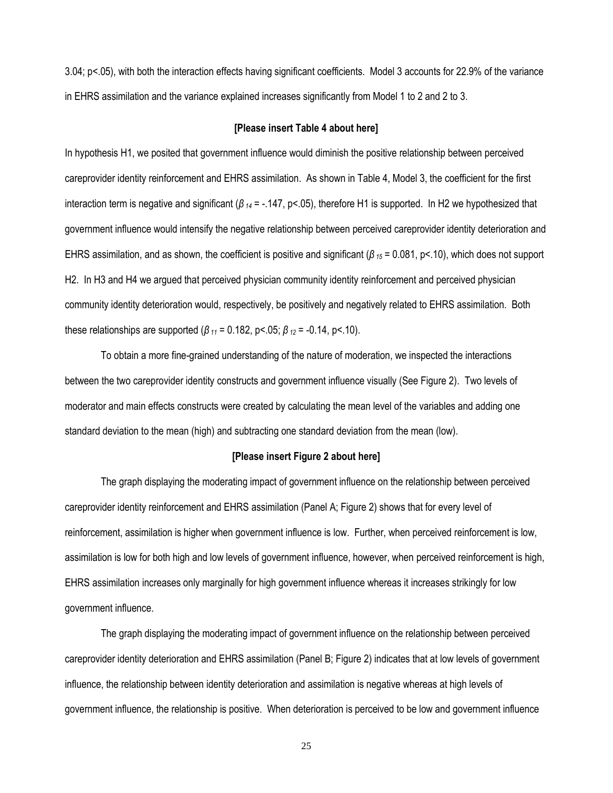3.04; p<.05), with both the interaction effects having significant coefficients. Model 3 accounts for 22.9% of the variance in EHRS assimilation and the variance explained increases significantly from Model 1 to 2 and 2 to 3.

## **[Please insert Table 4 about here]**

In hypothesis H1, we posited that government influence would diminish the positive relationship between perceived careprovider identity reinforcement and EHRS assimilation. As shown in Table 4, Model 3, the coefficient for the first interaction term is negative and significant (*β <sup>14</sup>* = -.147, p<.05), therefore H1 is supported. In H2 we hypothesized that government influence would intensify the negative relationship between perceived careprovider identity deterioration and EHRS assimilation, and as shown, the coefficient is positive and significant (*β <sup>15</sup>* = 0.081, p<.10), which does not support H2. In H3 and H4 we argued that perceived physician community identity reinforcement and perceived physician community identity deterioration would, respectively, be positively and negatively related to EHRS assimilation. Both these relationships are supported ( $β_{11} = 0.182$ , p<.05;  $β_{12} = -0.14$ , p<.10).

To obtain a more fine-grained understanding of the nature of moderation, we inspected the interactions between the two careprovider identity constructs and government influence visually (See Figure 2). Two levels of moderator and main effects constructs were created by calculating the mean level of the variables and adding one standard deviation to the mean (high) and subtracting one standard deviation from the mean (low).

### **[Please insert Figure 2 about here]**

The graph displaying the moderating impact of government influence on the relationship between perceived careprovider identity reinforcement and EHRS assimilation (Panel A; Figure 2) shows that for every level of reinforcement, assimilation is higher when government influence is low. Further, when perceived reinforcement is low, assimilation is low for both high and low levels of government influence, however, when perceived reinforcement is high, EHRS assimilation increases only marginally for high government influence whereas it increases strikingly for low government influence.

The graph displaying the moderating impact of government influence on the relationship between perceived careprovider identity deterioration and EHRS assimilation (Panel B; Figure 2) indicates that at low levels of government influence, the relationship between identity deterioration and assimilation is negative whereas at high levels of government influence, the relationship is positive. When deterioration is perceived to be low and government influence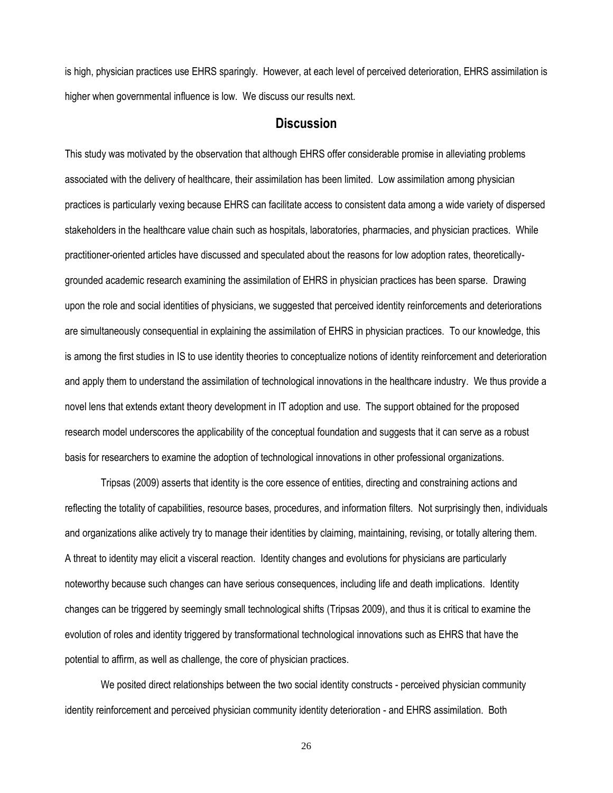is high, physician practices use EHRS sparingly. However, at each level of perceived deterioration, EHRS assimilation is higher when governmental influence is low. We discuss our results next.

## **Discussion**

This study was motivated by the observation that although EHRS offer considerable promise in alleviating problems associated with the delivery of healthcare, their assimilation has been limited. Low assimilation among physician practices is particularly vexing because EHRS can facilitate access to consistent data among a wide variety of dispersed stakeholders in the healthcare value chain such as hospitals, laboratories, pharmacies, and physician practices. While practitioner-oriented articles have discussed and speculated about the reasons for low adoption rates, theoreticallygrounded academic research examining the assimilation of EHRS in physician practices has been sparse. Drawing upon the role and social identities of physicians, we suggested that perceived identity reinforcements and deteriorations are simultaneously consequential in explaining the assimilation of EHRS in physician practices. To our knowledge, this is among the first studies in IS to use identity theories to conceptualize notions of identity reinforcement and deterioration and apply them to understand the assimilation of technological innovations in the healthcare industry. We thus provide a novel lens that extends extant theory development in IT adoption and use. The support obtained for the proposed research model underscores the applicability of the conceptual foundation and suggests that it can serve as a robust basis for researchers to examine the adoption of technological innovations in other professional organizations.

Tripsas (2009) asserts that identity is the core essence of entities, directing and constraining actions and reflecting the totality of capabilities, resource bases, procedures, and information filters. Not surprisingly then, individuals and organizations alike actively try to manage their identities by claiming, maintaining, revising, or totally altering them. A threat to identity may elicit a visceral reaction. Identity changes and evolutions for physicians are particularly noteworthy because such changes can have serious consequences, including life and death implications. Identity changes can be triggered by seemingly small technological shifts (Tripsas 2009), and thus it is critical to examine the evolution of roles and identity triggered by transformational technological innovations such as EHRS that have the potential to affirm, as well as challenge, the core of physician practices.

We posited direct relationships between the two social identity constructs - perceived physician community identity reinforcement and perceived physician community identity deterioration - and EHRS assimilation. Both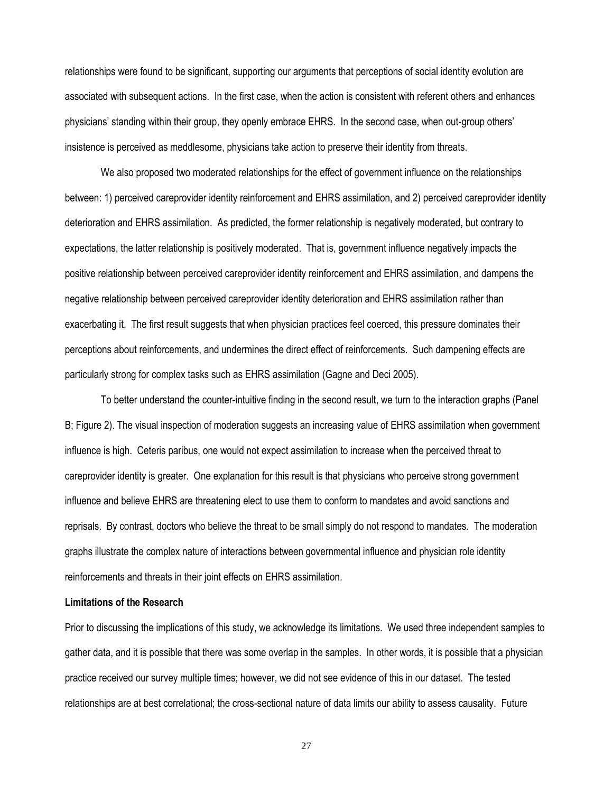relationships were found to be significant, supporting our arguments that perceptions of social identity evolution are associated with subsequent actions. In the first case, when the action is consistent with referent others and enhances physicians' standing within their group, they openly embrace EHRS. In the second case, when out-group others' insistence is perceived as meddlesome, physicians take action to preserve their identity from threats.

We also proposed two moderated relationships for the effect of government influence on the relationships between: 1) perceived careprovider identity reinforcement and EHRS assimilation, and 2) perceived careprovider identity deterioration and EHRS assimilation. As predicted, the former relationship is negatively moderated, but contrary to expectations, the latter relationship is positively moderated. That is, government influence negatively impacts the positive relationship between perceived careprovider identity reinforcement and EHRS assimilation, and dampens the negative relationship between perceived careprovider identity deterioration and EHRS assimilation rather than exacerbating it. The first result suggests that when physician practices feel coerced, this pressure dominates their perceptions about reinforcements, and undermines the direct effect of reinforcements. Such dampening effects are particularly strong for complex tasks such as EHRS assimilation (Gagne and Deci 2005).

To better understand the counter-intuitive finding in the second result, we turn to the interaction graphs (Panel B; Figure 2). The visual inspection of moderation suggests an increasing value of EHRS assimilation when government influence is high. Ceteris paribus, one would not expect assimilation to increase when the perceived threat to careprovider identity is greater. One explanation for this result is that physicians who perceive strong government influence and believe EHRS are threatening elect to use them to conform to mandates and avoid sanctions and reprisals. By contrast, doctors who believe the threat to be small simply do not respond to mandates. The moderation graphs illustrate the complex nature of interactions between governmental influence and physician role identity reinforcements and threats in their joint effects on EHRS assimilation.

#### **Limitations of the Research**

Prior to discussing the implications of this study, we acknowledge its limitations. We used three independent samples to gather data, and it is possible that there was some overlap in the samples. In other words, it is possible that a physician practice received our survey multiple times; however, we did not see evidence of this in our dataset. The tested relationships are at best correlational; the cross-sectional nature of data limits our ability to assess causality. Future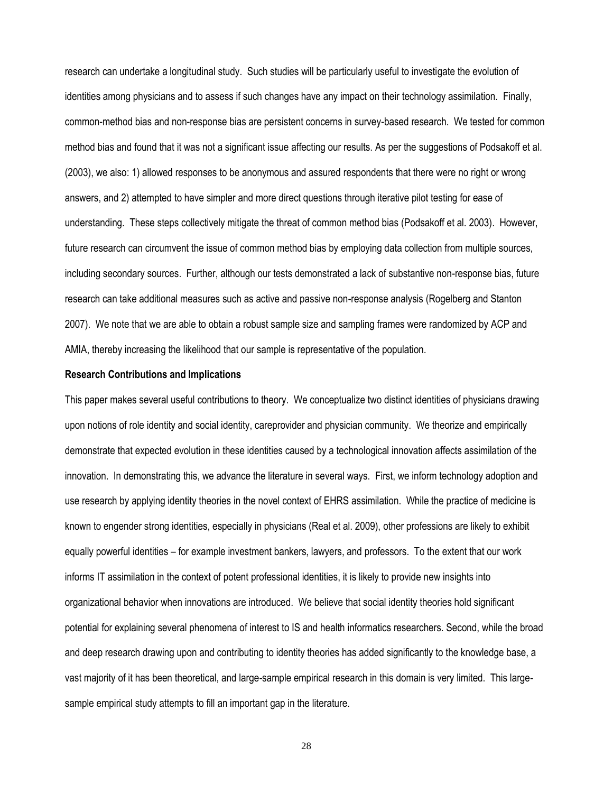research can undertake a longitudinal study. Such studies will be particularly useful to investigate the evolution of identities among physicians and to assess if such changes have any impact on their technology assimilation. Finally, common-method bias and non-response bias are persistent concerns in survey-based research. We tested for common method bias and found that it was not a significant issue affecting our results. As per the suggestions of Podsakoff et al. (2003), we also: 1) allowed responses to be anonymous and assured respondents that there were no right or wrong answers, and 2) attempted to have simpler and more direct questions through iterative pilot testing for ease of understanding. These steps collectively mitigate the threat of common method bias (Podsakoff et al. 2003). However, future research can circumvent the issue of common method bias by employing data collection from multiple sources, including secondary sources. Further, although our tests demonstrated a lack of substantive non-response bias, future research can take additional measures such as active and passive non-response analysis (Rogelberg and Stanton 2007). We note that we are able to obtain a robust sample size and sampling frames were randomized by ACP and AMIA, thereby increasing the likelihood that our sample is representative of the population.

#### **Research Contributions and Implications**

This paper makes several useful contributions to theory. We conceptualize two distinct identities of physicians drawing upon notions of role identity and social identity, careprovider and physician community. We theorize and empirically demonstrate that expected evolution in these identities caused by a technological innovation affects assimilation of the innovation. In demonstrating this, we advance the literature in several ways. First, we inform technology adoption and use research by applying identity theories in the novel context of EHRS assimilation. While the practice of medicine is known to engender strong identities, especially in physicians (Real et al. 2009), other professions are likely to exhibit equally powerful identities – for example investment bankers, lawyers, and professors. To the extent that our work informs IT assimilation in the context of potent professional identities, it is likely to provide new insights into organizational behavior when innovations are introduced. We believe that social identity theories hold significant potential for explaining several phenomena of interest to IS and health informatics researchers. Second, while the broad and deep research drawing upon and contributing to identity theories has added significantly to the knowledge base, a vast majority of it has been theoretical, and large-sample empirical research in this domain is very limited. This largesample empirical study attempts to fill an important gap in the literature.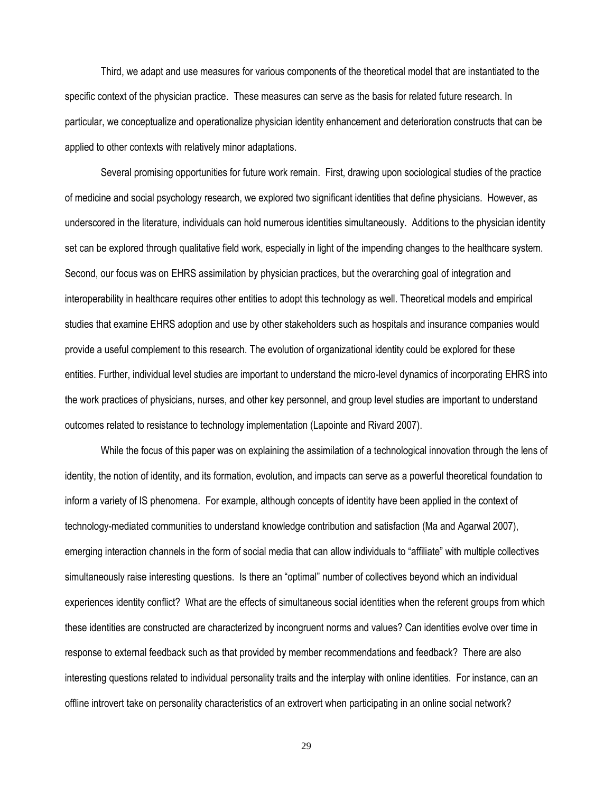Third, we adapt and use measures for various components of the theoretical model that are instantiated to the specific context of the physician practice. These measures can serve as the basis for related future research. In particular, we conceptualize and operationalize physician identity enhancement and deterioration constructs that can be applied to other contexts with relatively minor adaptations.

Several promising opportunities for future work remain. First, drawing upon sociological studies of the practice of medicine and social psychology research, we explored two significant identities that define physicians. However, as underscored in the literature, individuals can hold numerous identities simultaneously. Additions to the physician identity set can be explored through qualitative field work, especially in light of the impending changes to the healthcare system. Second, our focus was on EHRS assimilation by physician practices, but the overarching goal of integration and interoperability in healthcare requires other entities to adopt this technology as well. Theoretical models and empirical studies that examine EHRS adoption and use by other stakeholders such as hospitals and insurance companies would provide a useful complement to this research. The evolution of organizational identity could be explored for these entities. Further, individual level studies are important to understand the micro-level dynamics of incorporating EHRS into the work practices of physicians, nurses, and other key personnel, and group level studies are important to understand outcomes related to resistance to technology implementation (Lapointe and Rivard 2007).

While the focus of this paper was on explaining the assimilation of a technological innovation through the lens of identity, the notion of identity, and its formation, evolution, and impacts can serve as a powerful theoretical foundation to inform a variety of IS phenomena. For example, although concepts of identity have been applied in the context of technology-mediated communities to understand knowledge contribution and satisfaction (Ma and Agarwal 2007), emerging interaction channels in the form of social media that can allow individuals to "affiliate" with multiple collectives simultaneously raise interesting questions. Is there an "optimal" number of collectives beyond which an individual experiences identity conflict? What are the effects of simultaneous social identities when the referent groups from which these identities are constructed are characterized by incongruent norms and values? Can identities evolve over time in response to external feedback such as that provided by member recommendations and feedback? There are also interesting questions related to individual personality traits and the interplay with online identities. For instance, can an offline introvert take on personality characteristics of an extrovert when participating in an online social network?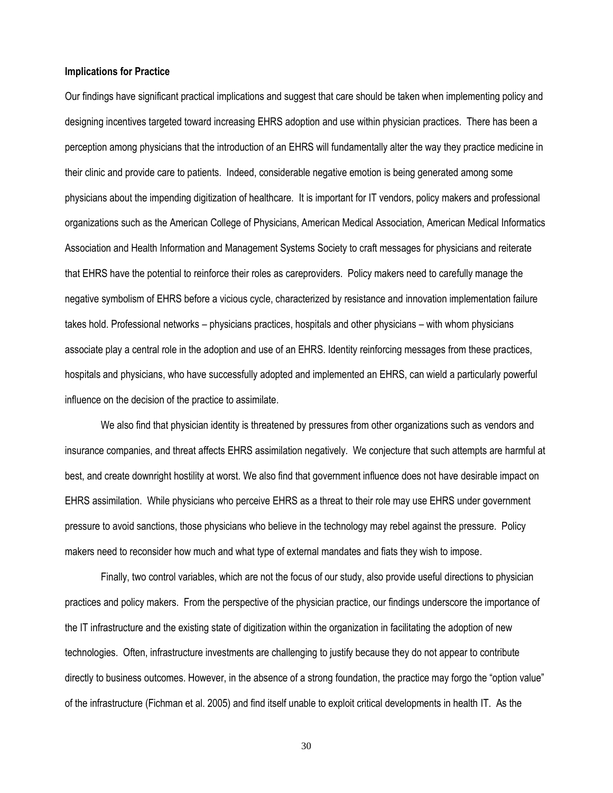#### **Implications for Practice**

Our findings have significant practical implications and suggest that care should be taken when implementing policy and designing incentives targeted toward increasing EHRS adoption and use within physician practices. There has been a perception among physicians that the introduction of an EHRS will fundamentally alter the way they practice medicine in their clinic and provide care to patients. Indeed, considerable negative emotion is being generated among some physicians about the impending digitization of healthcare. It is important for IT vendors, policy makers and professional organizations such as the American College of Physicians, American Medical Association, American Medical Informatics Association and Health Information and Management Systems Society to craft messages for physicians and reiterate that EHRS have the potential to reinforce their roles as careproviders. Policy makers need to carefully manage the negative symbolism of EHRS before a vicious cycle, characterized by resistance and innovation implementation failure takes hold. Professional networks – physicians practices, hospitals and other physicians – with whom physicians associate play a central role in the adoption and use of an EHRS. Identity reinforcing messages from these practices, hospitals and physicians, who have successfully adopted and implemented an EHRS, can wield a particularly powerful influence on the decision of the practice to assimilate.

We also find that physician identity is threatened by pressures from other organizations such as vendors and insurance companies, and threat affects EHRS assimilation negatively. We conjecture that such attempts are harmful at best, and create downright hostility at worst. We also find that government influence does not have desirable impact on EHRS assimilation. While physicians who perceive EHRS as a threat to their role may use EHRS under government pressure to avoid sanctions, those physicians who believe in the technology may rebel against the pressure. Policy makers need to reconsider how much and what type of external mandates and fiats they wish to impose.

Finally, two control variables, which are not the focus of our study, also provide useful directions to physician practices and policy makers. From the perspective of the physician practice, our findings underscore the importance of the IT infrastructure and the existing state of digitization within the organization in facilitating the adoption of new technologies. Often, infrastructure investments are challenging to justify because they do not appear to contribute directly to business outcomes. However, in the absence of a strong foundation, the practice may forgo the "option value" of the infrastructure (Fichman et al. 2005) and find itself unable to exploit critical developments in health IT. As the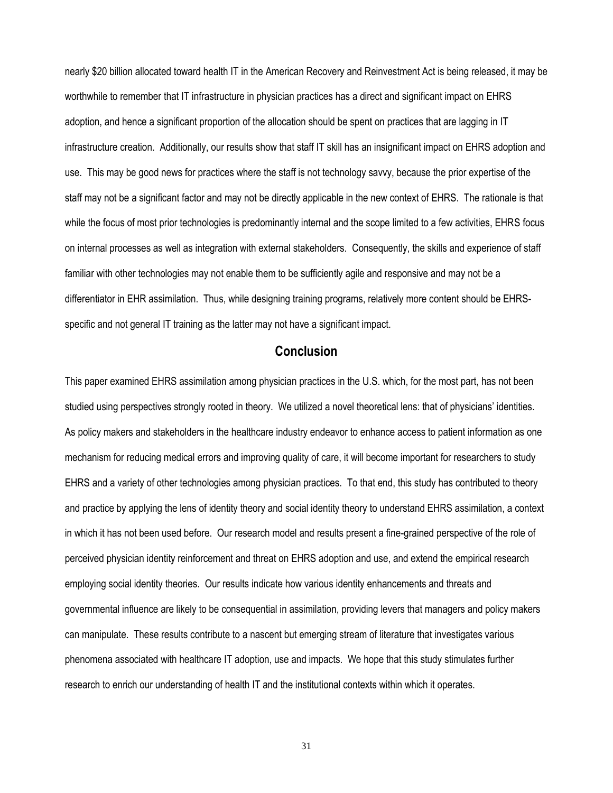nearly \$20 billion allocated toward health IT in the American Recovery and Reinvestment Act is being released, it may be worthwhile to remember that IT infrastructure in physician practices has a direct and significant impact on EHRS adoption, and hence a significant proportion of the allocation should be spent on practices that are lagging in IT infrastructure creation. Additionally, our results show that staff IT skill has an insignificant impact on EHRS adoption and use. This may be good news for practices where the staff is not technology savvy, because the prior expertise of the staff may not be a significant factor and may not be directly applicable in the new context of EHRS. The rationale is that while the focus of most prior technologies is predominantly internal and the scope limited to a few activities, EHRS focus on internal processes as well as integration with external stakeholders. Consequently, the skills and experience of staff familiar with other technologies may not enable them to be sufficiently agile and responsive and may not be a differentiator in EHR assimilation. Thus, while designing training programs, relatively more content should be EHRSspecific and not general IT training as the latter may not have a significant impact.

# **Conclusion**

This paper examined EHRS assimilation among physician practices in the U.S. which, for the most part, has not been studied using perspectives strongly rooted in theory. We utilized a novel theoretical lens: that of physicians' identities. As policy makers and stakeholders in the healthcare industry endeavor to enhance access to patient information as one mechanism for reducing medical errors and improving quality of care, it will become important for researchers to study EHRS and a variety of other technologies among physician practices. To that end, this study has contributed to theory and practice by applying the lens of identity theory and social identity theory to understand EHRS assimilation, a context in which it has not been used before. Our research model and results present a fine-grained perspective of the role of perceived physician identity reinforcement and threat on EHRS adoption and use, and extend the empirical research employing social identity theories. Our results indicate how various identity enhancements and threats and governmental influence are likely to be consequential in assimilation, providing levers that managers and policy makers can manipulate. These results contribute to a nascent but emerging stream of literature that investigates various phenomena associated with healthcare IT adoption, use and impacts. We hope that this study stimulates further research to enrich our understanding of health IT and the institutional contexts within which it operates.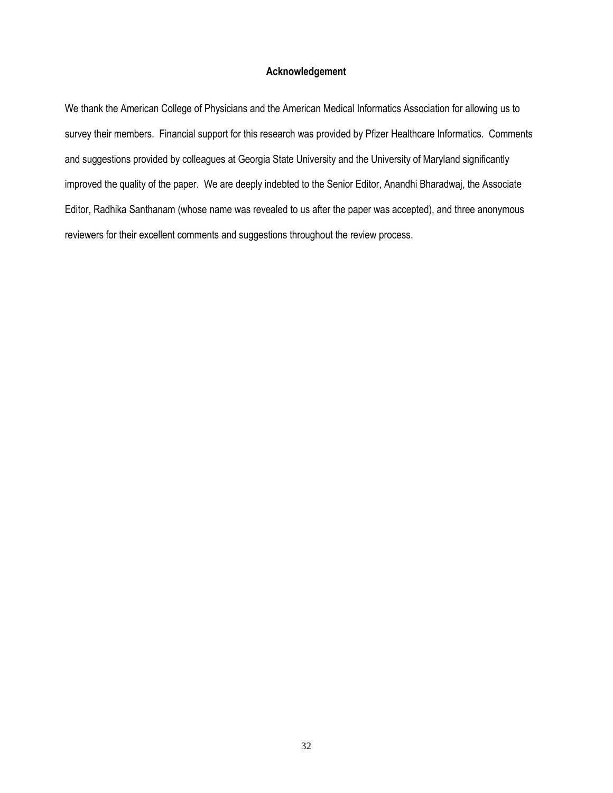## **Acknowledgement**

We thank the American College of Physicians and the American Medical Informatics Association for allowing us to survey their members. Financial support for this research was provided by Pfizer Healthcare Informatics. Comments and suggestions provided by colleagues at Georgia State University and the University of Maryland significantly improved the quality of the paper. We are deeply indebted to the Senior Editor, Anandhi Bharadwaj, the Associate Editor, Radhika Santhanam (whose name was revealed to us after the paper was accepted), and three anonymous reviewers for their excellent comments and suggestions throughout the review process.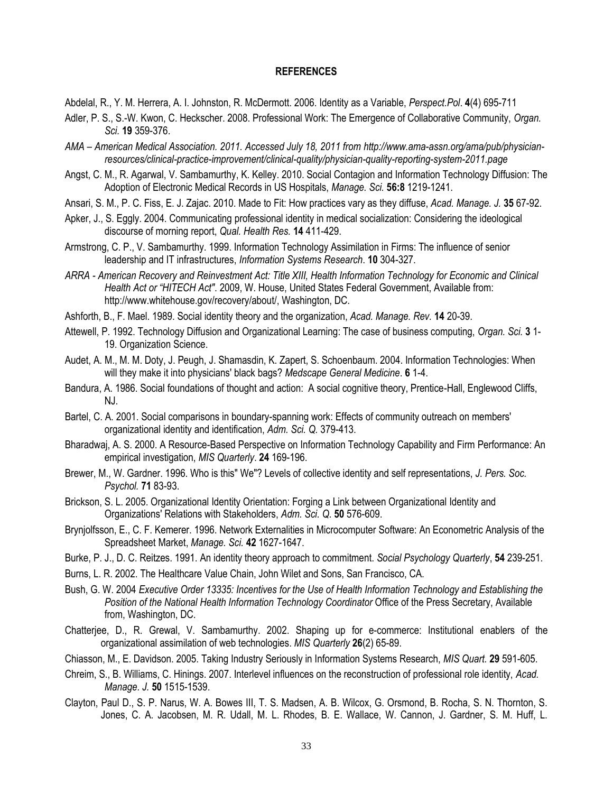## **REFERENCES**

- Abdelal, R., Y. M. Herrera, A. I. Johnston, R. McDermott. 2006. Identity as a Variable, *Perspect.Pol*. **4**(4) 695-711
- Adler, P. S., S.-W. Kwon, C. Heckscher. 2008. Professional Work: The Emergence of Collaborative Community, *Organ. Sci.* **19** 359-376.
- *AMA – American Medical Association. 2011. Accessed July 18, 2011 from http://www.ama-assn.org/ama/pub/physicianresources/clinical-practice-improvement/clinical-quality/physician-quality-reporting-system-2011.page*
- Angst, C. M., R. Agarwal, V. Sambamurthy, K. Kelley. 2010. Social Contagion and Information Technology Diffusion: The Adoption of Electronic Medical Records in US Hospitals, *Manage. Sci.* **56:8** 1219-1241.
- Ansari, S. M., P. C. Fiss, E. J. Zajac. 2010. Made to Fit: How practices vary as they diffuse, *Acad. Manage. J.* **35** 67-92.
- Apker, J., S. Eggly. 2004. Communicating professional identity in medical socialization: Considering the ideological discourse of morning report, *Qual. Health Res.* **14** 411-429.
- Armstrong, C. P., V. Sambamurthy. 1999. Information Technology Assimilation in Firms: The influence of senior leadership and IT infrastructures, *Information Systems Research*. **10** 304-327.
- *ARRA - American Recovery and Reinvestment Act: Title XIII, Health Information Technology for Economic and Clinical Health Act or "HITECH Act"*. 2009, W. House, United States Federal Government, Available from: http://www.whitehouse.gov/recovery/about/, Washington, DC.
- Ashforth, B., F. Mael. 1989. Social identity theory and the organization, *Acad. Manage. Rev.* **14** 20-39.
- Attewell, P. 1992. Technology Diffusion and Organizational Learning: The case of business computing, *Organ. Sci.* **3** 1- 19. Organization Science.
- Audet, A. M., M. M. Doty, J. Peugh, J. Shamasdin, K. Zapert, S. Schoenbaum. 2004. Information Technologies: When will they make it into physicians' black bags? *Medscape General Medicine*. **6** 1-4.
- Bandura, A. 1986. Social foundations of thought and action: A social cognitive theory, Prentice-Hall, Englewood Cliffs, NJ.
- Bartel, C. A. 2001. Social comparisons in boundary-spanning work: Effects of community outreach on members' organizational identity and identification, *Adm. Sci. Q.* 379-413.
- Bharadwaj, A. S. 2000. A Resource-Based Perspective on Information Technology Capability and Firm Performance: An empirical investigation, *MIS Quarterly*. **24** 169-196.
- Brewer, M., W. Gardner. 1996. Who is this" We"? Levels of collective identity and self representations, *J. Pers. Soc. Psychol.* **71** 83-93.
- Brickson, S. L. 2005. Organizational Identity Orientation: Forging a Link between Organizational Identity and Organizations' Relations with Stakeholders, *Adm. Sci. Q.* **50** 576-609.
- Brynjolfsson, E., C. F. Kemerer. 1996. Network Externalities in Microcomputer Software: An Econometric Analysis of the Spreadsheet Market, *Manage. Sci.* **42** 1627-1647.
- Burke, P. J., D. C. Reitzes. 1991. An identity theory approach to commitment. *Social Psychology Quarterly*, **54** 239-251.
- Burns, L. R. 2002. The Healthcare Value Chain, John Wilet and Sons, San Francisco, CA.
- Bush, G. W. 2004 *Executive Order 13335: Incentives for the Use of Health Information Technology and Establishing the Position of the National Health Information Technology Coordinator* Office of the Press Secretary, Available from, Washington, DC.
- Chatterjee, D., R. Grewal, V. Sambamurthy. 2002. Shaping up for e-commerce: Institutional enablers of the organizational assimilation of web technologies. *MIS Quarterly* **26**(2) 65-89.
- Chiasson, M., E. Davidson. 2005. Taking Industry Seriously in Information Systems Research, *MIS Quart.* **29** 591-605.
- Chreim, S., B. Williams, C. Hinings. 2007. Interlevel influences on the reconstruction of professional role identity, *Acad. Manage. J.* **50** 1515-1539.
- Clayton, Paul D., S. P. Narus, W. A. Bowes III, T. S. Madsen, A. B. Wilcox, G. Orsmond, B. Rocha, S. N. Thornton, S. Jones, C. A. Jacobsen, M. R. Udall, M. L. Rhodes, B. E. Wallace, W. Cannon, J. Gardner, S. M. Huff, L.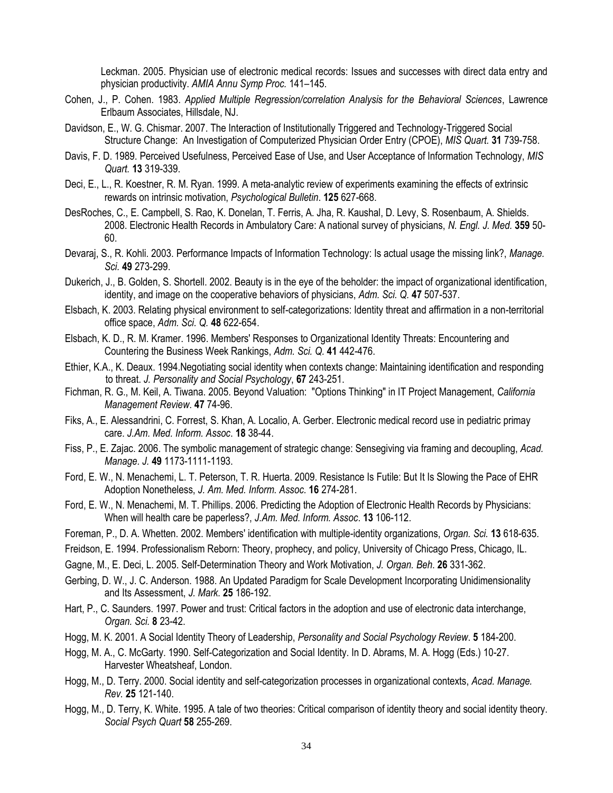Leckman. 2005. Physician use of electronic medical records: Issues and successes with direct data entry and physician productivity. *AMIA Annu Symp Proc.* 141–145.

- Cohen, J., P. Cohen. 1983. *Applied Multiple Regression/correlation Analysis for the Behavioral Sciences*, Lawrence Erlbaum Associates, Hillsdale, NJ.
- Davidson, E., W. G. Chismar. 2007. The Interaction of Institutionally Triggered and Technology-Triggered Social Structure Change: An Investigation of Computerized Physician Order Entry (CPOE), *MIS Quart.* **31** 739-758.
- Davis, F. D. 1989. Perceived Usefulness, Perceived Ease of Use, and User Acceptance of Information Technology, *MIS Quart.* **13** 319-339.
- Deci, E., L., R. Koestner, R. M. Ryan. 1999. A meta-analytic review of experiments examining the effects of extrinsic rewards on intrinsic motivation, *Psychological Bulletin*. **125** 627-668.
- DesRoches, C., E. Campbell, S. Rao, K. Donelan, T. Ferris, A. Jha, R. Kaushal, D. Levy, S. Rosenbaum, A. Shields. 2008. Electronic Health Records in Ambulatory Care: A national survey of physicians, *N. Engl. J. Med.* **359** 50- 60.
- Devaraj, S., R. Kohli. 2003. Performance Impacts of Information Technology: Is actual usage the missing link?, *Manage. Sci.* **49** 273-299.
- Dukerich, J., B. Golden, S. Shortell. 2002. Beauty is in the eye of the beholder: the impact of organizational identification, identity, and image on the cooperative behaviors of physicians, *Adm. Sci. Q.* **47** 507-537.
- Elsbach, K. 2003. Relating physical environment to self-categorizations: Identity threat and affirmation in a non-territorial office space, *Adm. Sci. Q.* **48** 622-654.
- Elsbach, K. D., R. M. Kramer. 1996. Members' Responses to Organizational Identity Threats: Encountering and Countering the Business Week Rankings, *Adm. Sci. Q.* **41** 442-476.
- Ethier, K.A., K. Deaux. 1994.Negotiating social identity when contexts change: Maintaining identification and responding to threat. *J. Personality and Social Psychology*, **67** 243-251.
- Fichman, R. G., M. Keil, A. Tiwana. 2005. Beyond Valuation: "Options Thinking" in IT Project Management, *California Management Review*. **47** 74-96.
- Fiks, A., E. Alessandrini, C. Forrest, S. Khan, A. Localio, A. Gerber. Electronic medical record use in pediatric primay care. *J.Am. Med. Inform. Assoc*. **18** 38-44.
- Fiss, P., E. Zajac. 2006. The symbolic management of strategic change: Sensegiving via framing and decoupling, *Acad. Manage. J.* **49** 1173-1111-1193.
- Ford, E. W., N. Menachemi, L. T. Peterson, T. R. Huerta. 2009. Resistance Is Futile: But It Is Slowing the Pace of EHR Adoption Nonetheless, *J. Am. Med. Inform. Assoc.* **16** 274-281.
- Ford, E. W., N. Menachemi, M. T. Phillips. 2006. Predicting the Adoption of Electronic Health Records by Physicians: When will health care be paperless?, *J.Am. Med. Inform. Assoc*. **13** 106-112.
- Foreman, P., D. A. Whetten. 2002. Members' identification with multiple-identity organizations, *Organ. Sci.* **13** 618-635.
- Freidson, E. 1994. Professionalism Reborn: Theory, prophecy, and policy, University of Chicago Press, Chicago, IL.
- Gagne, M., E. Deci, L. 2005. Self-Determination Theory and Work Motivation, *J. Organ. Beh*. **26** 331-362.
- Gerbing, D. W., J. C. Anderson. 1988. An Updated Paradigm for Scale Development Incorporating Unidimensionality and Its Assessment, *J. Mark.* **25** 186-192.
- Hart, P., C. Saunders. 1997. Power and trust: Critical factors in the adoption and use of electronic data interchange, *Organ. Sci.* **8** 23-42.
- Hogg, M. K. 2001. A Social Identity Theory of Leadership, *Personality and Social Psychology Review*. **5** 184-200.
- Hogg, M. A., C. McGarty. 1990. Self-Categorization and Social Identity. In D. Abrams, M. A. Hogg (Eds.) 10-27. Harvester Wheatsheaf, London.
- Hogg, M., D. Terry. 2000. Social identity and self-categorization processes in organizational contexts, *Acad. Manage. Rev.* **25** 121-140.
- Hogg, M., D. Terry, K. White. 1995. A tale of two theories: Critical comparison of identity theory and social identity theory. *Social Psych Quart* **58** 255-269.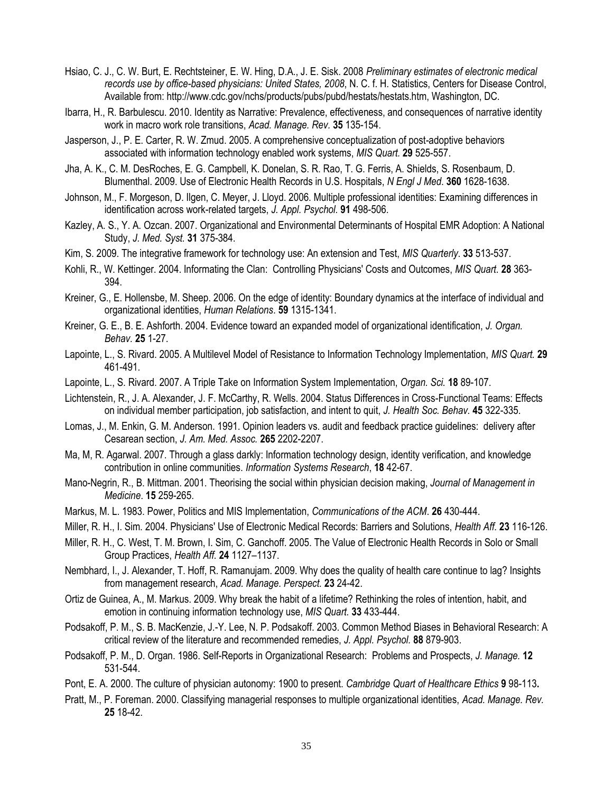- Hsiao, C. J., C. W. Burt, E. Rechtsteiner, E. W. Hing, D.A., J. E. Sisk. 2008 *Preliminary estimates of electronic medical records use by office-based physicians: United States, 2008*, N. C. f. H. Statistics, Centers for Disease Control, Available from: http://www.cdc.gov/nchs/products/pubs/pubd/hestats/hestats.htm, Washington, DC.
- Ibarra, H., R. Barbulescu. 2010. Identity as Narrative: Prevalence, effectiveness, and consequences of narrative identity work in macro work role transitions, *Acad. Manage. Rev.* **35** 135-154.
- Jasperson, J., P. E. Carter, R. W. Zmud. 2005. A comprehensive conceptualization of post-adoptive behaviors associated with information technology enabled work systems, *MIS Quart.* **29** 525-557.
- Jha, A. K., C. M. DesRoches, E. G. Campbell, K. Donelan, S. R. Rao, T. G. Ferris, A. Shields, S. Rosenbaum, D. Blumenthal. 2009. Use of Electronic Health Records in U.S. Hospitals, *N Engl J Med*. **360** 1628-1638.
- Johnson, M., F. Morgeson, D. Ilgen, C. Meyer, J. Lloyd. 2006. Multiple professional identities: Examining differences in identification across work-related targets, *J. Appl. Psychol.* **91** 498-506.
- Kazley, A. S., Y. A. Ozcan. 2007. Organizational and Environmental Determinants of Hospital EMR Adoption: A National Study, *J. Med. Syst.* **31** 375-384.
- Kim, S. 2009. The integrative framework for technology use: An extension and Test, *MIS Quarterly*. **33** 513-537.
- Kohli, R., W. Kettinger. 2004. Informating the Clan: Controlling Physicians' Costs and Outcomes, *MIS Quart.* **28** 363- 394.
- Kreiner, G., E. Hollensbe, M. Sheep. 2006. On the edge of identity: Boundary dynamics at the interface of individual and organizational identities, *Human Relations*. **59** 1315-1341.
- Kreiner, G. E., B. E. Ashforth. 2004. Evidence toward an expanded model of organizational identification, *J. Organ. Behav.* **25** 1-27.
- Lapointe, L., S. Rivard. 2005. A Multilevel Model of Resistance to Information Technology Implementation, *MIS Quart.* **29**  461-491.
- Lapointe, L., S. Rivard. 2007. A Triple Take on Information System Implementation, *Organ. Sci.* **18** 89-107.
- Lichtenstein, R., J. A. Alexander, J. F. McCarthy, R. Wells. 2004. Status Differences in Cross-Functional Teams: Effects on individual member participation, job satisfaction, and intent to quit, *J. Health Soc. Behav.* **45** 322-335.
- Lomas, J., M. Enkin, G. M. Anderson. 1991. Opinion leaders vs. audit and feedback practice guidelines: delivery after Cesarean section, *J. Am. Med. Assoc.* **265** 2202-2207.
- Ma, M, R. Agarwal. 2007. Through a glass darkly: Information technology design, identity verification, and knowledge contribution in online communities. *Information Systems Research*, **18** 42-67.
- Mano-Negrin, R., B. Mittman. 2001. Theorising the social within physician decision making, *Journal of Management in Medicine*. **15** 259-265.
- Markus, M. L. 1983. Power, Politics and MIS Implementation, *Communications of the ACM*. **26** 430-444.
- Miller, R. H., I. Sim. 2004. Physicians' Use of Electronic Medical Records: Barriers and Solutions, *Health Aff.* **23** 116-126.
- Miller, R. H., C. West, T. M. Brown, I. Sim, C. Ganchoff. 2005. The Value of Electronic Health Records in Solo or Small Group Practices, *Health Aff.* **24** 1127–1137.
- Nembhard, I., J. Alexander, T. Hoff, R. Ramanujam. 2009. Why does the quality of health care continue to lag? Insights from management research, *Acad. Manage. Perspect.* **23** 24-42.
- Ortiz de Guinea, A., M. Markus. 2009. Why break the habit of a lifetime? Rethinking the roles of intention, habit, and emotion in continuing information technology use, *MIS Quart.* **33** 433-444.
- Podsakoff, P. M., S. B. MacKenzie, J.-Y. Lee, N. P. Podsakoff. 2003. Common Method Biases in Behavioral Research: A critical review of the literature and recommended remedies, *J. Appl. Psychol.* **88** 879-903.
- Podsakoff, P. M., D. Organ. 1986. Self-Reports in Organizational Research: Problems and Prospects, *J. Manage.* **12**  531-544.
- Pont, E. A. 2000. The culture of physician autonomy: 1900 to present. *Cambridge Quart of Healthcare Ethics* **9** 98-113**.**
- Pratt, M., P. Foreman. 2000. Classifying managerial responses to multiple organizational identities, *Acad. Manage. Rev.* **25** 18-42.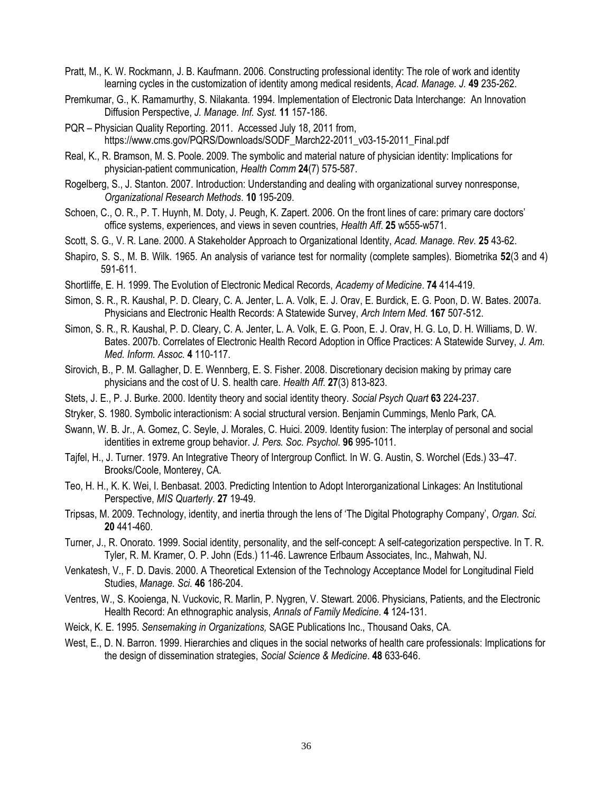- Pratt, M., K. W. Rockmann, J. B. Kaufmann. 2006. Constructing professional identity: The role of work and identity learning cycles in the customization of identity among medical residents, *Acad. Manage. J.* **49** 235-262.
- Premkumar, G., K. Ramamurthy, S. Nilakanta. 1994. Implementation of Electronic Data Interchange: An Innovation Diffusion Perspective, *J. Manage. Inf. Syst.* **11** 157-186.
- PQR Physician Quality Reporting. 2011. Accessed July 18, 2011 from, https://www.cms.gov/PQRS/Downloads/SODF\_March22-2011\_v03-15-2011\_Final.pdf
- Real, K., R. Bramson, M. S. Poole. 2009. The symbolic and material nature of physician identity: Implications for physician-patient communication, *Health Comm* **24**(7) 575-587.
- Rogelberg, S., J. Stanton. 2007. Introduction: Understanding and dealing with organizational survey nonresponse, *Organizational Research Methods*. **10** 195-209.
- Schoen, C., O. R., P. T. Huynh, M. Doty, J. Peugh, K. Zapert. 2006. On the front lines of care: primary care doctors' office systems, experiences, and views in seven countries, *Health Aff*. **25** w555-w571.
- Scott, S. G., V. R. Lane. 2000. A Stakeholder Approach to Organizational Identity, *Acad. Manage. Rev.* **25** 43-62.
- Shapiro, S. S., M. B. Wilk. 1965. An analysis of variance test for normality (complete samples). Biometrika **52**(3 and 4) 591-611.
- Shortliffe, E. H. 1999. The Evolution of Electronic Medical Records, *Academy of Medicine*. **74** 414-419.
- Simon, S. R., R. Kaushal, P. D. Cleary, C. A. Jenter, L. A. Volk, E. J. Orav, E. Burdick, E. G. Poon, D. W. Bates. 2007a. Physicians and Electronic Health Records: A Statewide Survey, *Arch Intern Med*. **167** 507-512.
- Simon, S. R., R. Kaushal, P. D. Cleary, C. A. Jenter, L. A. Volk, E. G. Poon, E. J. Orav, H. G. Lo, D. H. Williams, D. W. Bates. 2007b. Correlates of Electronic Health Record Adoption in Office Practices: A Statewide Survey, *J. Am. Med. Inform. Assoc.* **4** 110-117.
- Sirovich, B., P. M. Gallagher, D. E. Wennberg, E. S. Fisher. 2008. Discretionary decision making by primay care physicians and the cost of U. S. health care. *Health Aff.* **27**(3) 813-823.
- Stets, J. E., P. J. Burke. 2000. Identity theory and social identity theory. *Social Psych Quart* **63** 224-237.
- Stryker, S. 1980. Symbolic interactionism: A social structural version. Benjamin Cummings, Menlo Park, CA.
- Swann, W. B. Jr., A. Gomez, C. Seyle, J. Morales, C. Huici. 2009. Identity fusion: The interplay of personal and social identities in extreme group behavior. *J. Pers. Soc. Psychol.* **96** 995-1011.
- Tajfel, H., J. Turner. 1979. An Integrative Theory of Intergroup Conflict. In W. G. Austin, S. Worchel (Eds.) 33–47. Brooks/Coole, Monterey, CA.
- Teo, H. H., K. K. Wei, I. Benbasat. 2003. Predicting Intention to Adopt Interorganizational Linkages: An Institutional Perspective, *MIS Quarterly*. **27** 19-49.
- Tripsas, M. 2009. Technology, identity, and inertia through the lens of 'The Digital Photography Company', *Organ. Sci.* **20** 441-460.
- Turner, J., R. Onorato. 1999. Social identity, personality, and the self-concept: A self-categorization perspective. In T. R. Tyler, R. M. Kramer, O. P. John (Eds.) 11-46. Lawrence Erlbaum Associates, Inc., Mahwah, NJ.
- Venkatesh, V., F. D. Davis. 2000. A Theoretical Extension of the Technology Acceptance Model for Longitudinal Field Studies, *Manage. Sci.* **46** 186-204.
- Ventres, W., S. Kooienga, N. Vuckovic, R. Marlin, P. Nygren, V. Stewart. 2006. Physicians, Patients, and the Electronic Health Record: An ethnographic analysis, *Annals of Family Medicine*. **4** 124-131.
- Weick, K. E. 1995. *Sensemaking in Organizations,* SAGE Publications Inc., Thousand Oaks, CA.
- West, E., D. N. Barron. 1999. Hierarchies and cliques in the social networks of health care professionals: Implications for the design of dissemination strategies, *Social Science & Medicine*. **48** 633-646.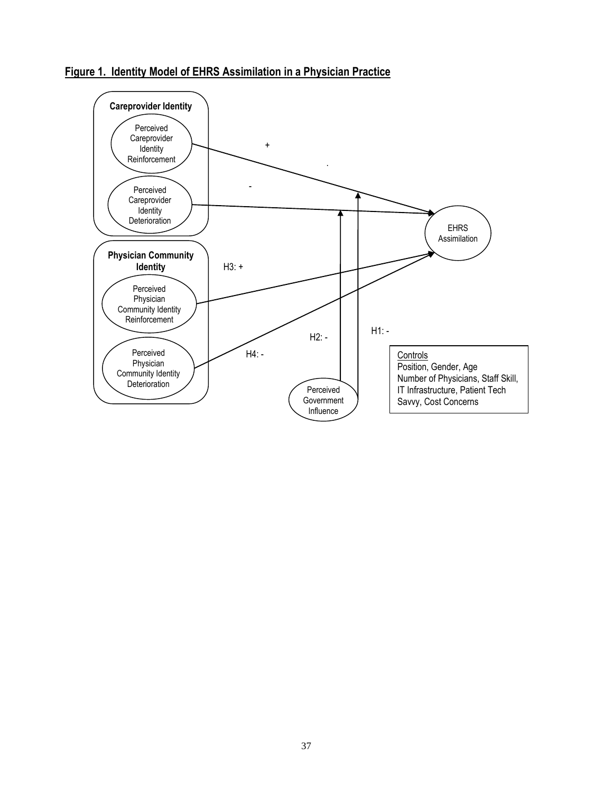

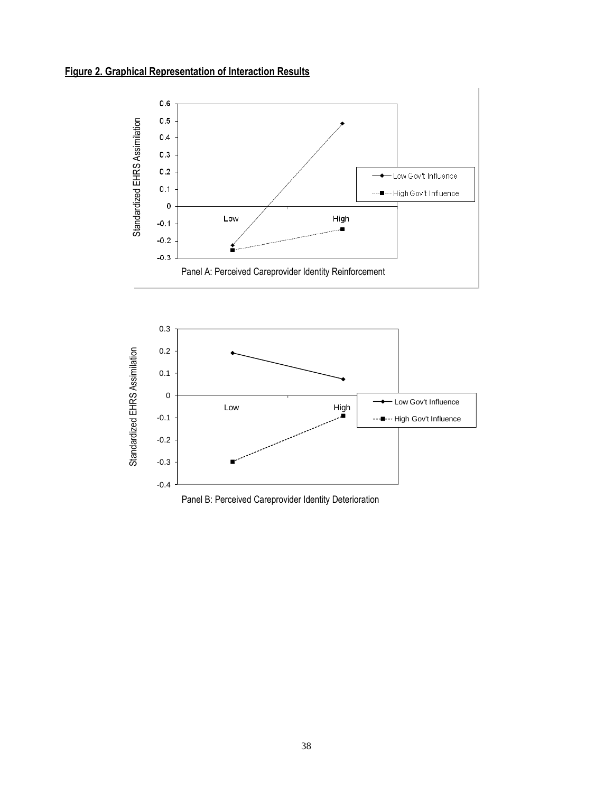**Figure 2. Graphical Representation of Interaction Results**



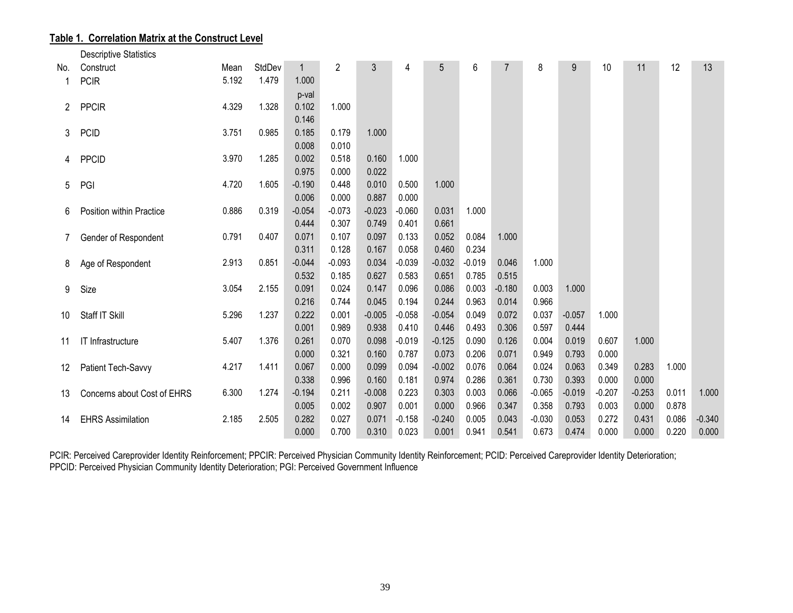# **Table 1. Correlation Matrix at the Construct Level**

Descriptive Statistics

| No. | Construct                       | Mean  | StdDev | $\mathbf{1}$   | 2              | 3              | 4              | 5                 | 6              |                | 8              | 9              | 10             | 11       | 12    | 13       |
|-----|---------------------------------|-------|--------|----------------|----------------|----------------|----------------|-------------------|----------------|----------------|----------------|----------------|----------------|----------|-------|----------|
| 1   | <b>PCIR</b>                     | 5.192 | 1.479  | 1.000          |                |                |                |                   |                |                |                |                |                |          |       |          |
|     |                                 |       |        | p-val          |                |                |                |                   |                |                |                |                |                |          |       |          |
| 2   | <b>PPCIR</b>                    | 4.329 | 1.328  | 0.102          | 1.000          |                |                |                   |                |                |                |                |                |          |       |          |
|     |                                 |       |        | 0.146          |                |                |                |                   |                |                |                |                |                |          |       |          |
| 3   | <b>PCID</b>                     | 3.751 | 0.985  | 0.185          | 0.179          | 1.000          |                |                   |                |                |                |                |                |          |       |          |
|     |                                 |       |        | 0.008          | 0.010          |                |                |                   |                |                |                |                |                |          |       |          |
| 4   | PPCID                           | 3.970 | 1.285  | 0.002<br>0.975 | 0.518<br>0.000 | 0.160<br>0.022 | 1.000          |                   |                |                |                |                |                |          |       |          |
| 5   | PGI                             | 4.720 | 1.605  | $-0.190$       | 0.448          | 0.010          | 0.500          | 1.000             |                |                |                |                |                |          |       |          |
|     |                                 |       |        | 0.006          | 0.000          | 0.887          | 0.000          |                   |                |                |                |                |                |          |       |          |
| 6   | <b>Position within Practice</b> | 0.886 | 0.319  | $-0.054$       | $-0.073$       | $-0.023$       | $-0.060$       | 0.031             | 1.000          |                |                |                |                |          |       |          |
|     |                                 |       |        | 0.444          | 0.307          | 0.749          | 0.401          | 0.661             |                |                |                |                |                |          |       |          |
|     | Gender of Respondent            | 0.791 | 0.407  | 0.071          | 0.107          | 0.097          | 0.133          | 0.052             | 0.084          | 1.000          |                |                |                |          |       |          |
|     |                                 |       |        | 0.311          | 0.128          | 0.167          | 0.058          | 0.460             | 0.234          |                |                |                |                |          |       |          |
| 8   | Age of Respondent               | 2.913 | 0.851  | $-0.044$       | $-0.093$       | 0.034          | $-0.039$       | $-0.032$          | $-0.019$       | 0.046          | 1.000          |                |                |          |       |          |
|     |                                 |       |        | 0.532          | 0.185          | 0.627          | 0.583          | 0.651             | 0.785          | 0.515          |                |                |                |          |       |          |
| 9   | Size                            | 3.054 | 2.155  | 0.091          | 0.024          | 0.147          | 0.096          | 0.086             | 0.003          | $-0.180$       | 0.003          | 1.000          |                |          |       |          |
|     |                                 |       |        | 0.216          | 0.744          | 0.045          | 0.194          | 0.244             | 0.963          | 0.014          | 0.966          |                |                |          |       |          |
| 10  | Staff IT Skill                  | 5.296 | 1.237  | 0.222          | 0.001          | $-0.005$       | $-0.058$       | $-0.054$          | 0.049          | 0.072          | 0.037          | $-0.057$       | 1.000          |          |       |          |
|     |                                 |       |        | 0.001          | 0.989          | 0.938          | 0.410          | 0.446             | 0.493          | 0.306          | 0.597          | 0.444          |                |          |       |          |
| 11  | IT Infrastructure               | 5.407 | 1.376  | 0.261          | 0.070          | 0.098          | $-0.019$       | $-0.125$          | 0.090          | 0.126          | 0.004          | 0.019          | 0.607          | 1.000    |       |          |
|     |                                 |       |        | 0.000<br>0.067 | 0.321<br>0.000 | 0.160<br>0.099 | 0.787          | 0.073<br>$-0.002$ | 0.206<br>0.076 | 0.071<br>0.064 | 0.949<br>0.024 | 0.793<br>0.063 | 0.000<br>0.349 | 0.283    | 1.000 |          |
| 12  | Patient Tech-Savvy              | 4.217 | 1.411  | 0.338          | 0.996          | 0.160          | 0.094<br>0.181 | 0.974             | 0.286          | 0.361          | 0.730          | 0.393          | 0.000          | 0.000    |       |          |
| 13  | Concerns about Cost of EHRS     | 6.300 | 1.274  | $-0.194$       | 0.211          | $-0.008$       | 0.223          | 0.303             | 0.003          | 0.066          | $-0.065$       | $-0.019$       | $-0.207$       | $-0.253$ | 0.011 | 1.000    |
|     |                                 |       |        | 0.005          | 0.002          | 0.907          | 0.001          | 0.000             | 0.966          | 0.347          | 0.358          | 0.793          | 0.003          | 0.000    | 0.878 |          |
| 14  | <b>EHRS Assimilation</b>        | 2.185 | 2.505  | 0.282          | 0.027          | 0.071          | $-0.158$       | $-0.240$          | 0.005          | 0.043          | $-0.030$       | 0.053          | 0.272          | 0.431    | 0.086 | $-0.340$ |
|     |                                 |       |        | 0.000          | 0.700          | 0.310          | 0.023          | 0.001             | 0.941          | 0.541          | 0.673          | 0.474          | 0.000          | 0.000    | 0.220 | 0.000    |

PCIR: Perceived Careprovider Identity Reinforcement; PPCIR: Perceived Physician Community Identity Reinforcement; PCID: Perceived Careprovider Identity Deterioration; PPCID: Perceived Physician Community Identity Deterioration; PGI: Perceived Government Influence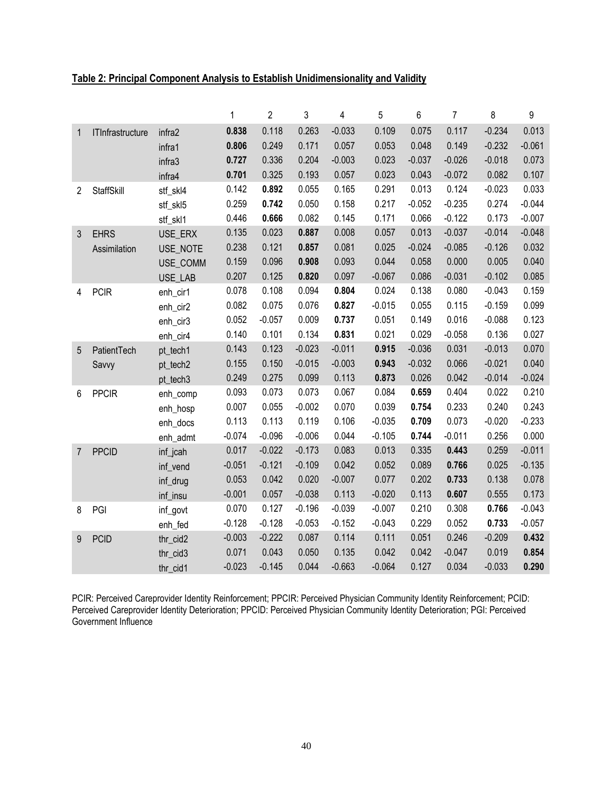# **Table 2: Principal Component Analysis to Establish Unidimensionality and Validity**

|                |                         |          | 1        | $\overline{2}$ | 3        | 4        | 5        | 6        | $\overline{7}$ | 8        | 9        |
|----------------|-------------------------|----------|----------|----------------|----------|----------|----------|----------|----------------|----------|----------|
| $\mathbf 1$    | <b>ITInfrastructure</b> | infra2   | 0.838    | 0.118          | 0.263    | $-0.033$ | 0.109    | 0.075    | 0.117          | $-0.234$ | 0.013    |
|                |                         | infra1   | 0.806    | 0.249          | 0.171    | 0.057    | 0.053    | 0.048    | 0.149          | $-0.232$ | $-0.061$ |
|                |                         | infra3   | 0.727    | 0.336          | 0.204    | $-0.003$ | 0.023    | $-0.037$ | $-0.026$       | $-0.018$ | 0.073    |
|                |                         | infra4   | 0.701    | 0.325          | 0.193    | 0.057    | 0.023    | 0.043    | $-0.072$       | 0.082    | 0.107    |
| $\overline{2}$ | StaffSkill              | stf_skl4 | 0.142    | 0.892          | 0.055    | 0.165    | 0.291    | 0.013    | 0.124          | $-0.023$ | 0.033    |
|                |                         | stf_skl5 | 0.259    | 0.742          | 0.050    | 0.158    | 0.217    | $-0.052$ | $-0.235$       | 0.274    | $-0.044$ |
|                |                         | stf_skl1 | 0.446    | 0.666          | 0.082    | 0.145    | 0.171    | 0.066    | $-0.122$       | 0.173    | $-0.007$ |
| $\mathfrak{Z}$ | <b>EHRS</b>             | USE_ERX  | 0.135    | 0.023          | 0.887    | 0.008    | 0.057    | 0.013    | $-0.037$       | $-0.014$ | $-0.048$ |
|                | Assimilation            | USE NOTE | 0.238    | 0.121          | 0.857    | 0.081    | 0.025    | $-0.024$ | $-0.085$       | $-0.126$ | 0.032    |
|                |                         | USE_COMM | 0.159    | 0.096          | 0.908    | 0.093    | 0.044    | 0.058    | 0.000          | 0.005    | 0.040    |
|                |                         | USE LAB  | 0.207    | 0.125          | 0.820    | 0.097    | $-0.067$ | 0.086    | $-0.031$       | $-0.102$ | 0.085    |
| $\overline{4}$ | <b>PCIR</b>             | enh_cir1 | 0.078    | 0.108          | 0.094    | 0.804    | 0.024    | 0.138    | 0.080          | $-0.043$ | 0.159    |
|                |                         | enh_cir2 | 0.082    | 0.075          | 0.076    | 0.827    | $-0.015$ | 0.055    | 0.115          | $-0.159$ | 0.099    |
|                |                         | enh_cir3 | 0.052    | $-0.057$       | 0.009    | 0.737    | 0.051    | 0.149    | 0.016          | $-0.088$ | 0.123    |
|                |                         | enh_cir4 | 0.140    | 0.101          | 0.134    | 0.831    | 0.021    | 0.029    | $-0.058$       | 0.136    | 0.027    |
| 5              | PatientTech             | pt_tech1 | 0.143    | 0.123          | $-0.023$ | $-0.011$ | 0.915    | $-0.036$ | 0.031          | $-0.013$ | 0.070    |
|                | Savvy                   | pt_tech2 | 0.155    | 0.150          | $-0.015$ | $-0.003$ | 0.943    | $-0.032$ | 0.066          | $-0.021$ | 0.040    |
|                |                         | pt_tech3 | 0.249    | 0.275          | 0.099    | 0.113    | 0.873    | 0.026    | 0.042          | $-0.014$ | $-0.024$ |
| 6              | <b>PPCIR</b>            | enh_comp | 0.093    | 0.073          | 0.073    | 0.067    | 0.084    | 0.659    | 0.404          | 0.022    | 0.210    |
|                |                         | enh_hosp | 0.007    | 0.055          | $-0.002$ | 0.070    | 0.039    | 0.754    | 0.233          | 0.240    | 0.243    |
|                |                         | enh_docs | 0.113    | 0.113          | 0.119    | 0.106    | $-0.035$ | 0.709    | 0.073          | $-0.020$ | $-0.233$ |
|                |                         | enh_admt | $-0.074$ | $-0.096$       | $-0.006$ | 0.044    | $-0.105$ | 0.744    | $-0.011$       | 0.256    | 0.000    |
| $\overline{7}$ | <b>PPCID</b>            | inf_jcah | 0.017    | $-0.022$       | $-0.173$ | 0.083    | 0.013    | 0.335    | 0.443          | 0.259    | $-0.011$ |
|                |                         | inf vend | $-0.051$ | $-0.121$       | $-0.109$ | 0.042    | 0.052    | 0.089    | 0.766          | 0.025    | $-0.135$ |
|                |                         | inf_drug | 0.053    | 0.042          | 0.020    | $-0.007$ | 0.077    | 0.202    | 0.733          | 0.138    | 0.078    |
|                |                         | inf_insu | $-0.001$ | 0.057          | $-0.038$ | 0.113    | $-0.020$ | 0.113    | 0.607          | 0.555    | 0.173    |
| 8              | PGI                     | inf_govt | 0.070    | 0.127          | $-0.196$ | $-0.039$ | $-0.007$ | 0.210    | 0.308          | 0.766    | $-0.043$ |
|                |                         | enh_fed  | $-0.128$ | $-0.128$       | $-0.053$ | $-0.152$ | $-0.043$ | 0.229    | 0.052          | 0.733    | $-0.057$ |
| 9              | <b>PCID</b>             | thr_cid2 | $-0.003$ | $-0.222$       | 0.087    | 0.114    | 0.111    | 0.051    | 0.246          | $-0.209$ | 0.432    |
|                |                         | thr_cid3 | 0.071    | 0.043          | 0.050    | 0.135    | 0.042    | 0.042    | $-0.047$       | 0.019    | 0.854    |
|                |                         | thr cid1 | $-0.023$ | $-0.145$       | 0.044    | $-0.663$ | $-0.064$ | 0.127    | 0.034          | $-0.033$ | 0.290    |

PCIR: Perceived Careprovider Identity Reinforcement; PPCIR: Perceived Physician Community Identity Reinforcement; PCID: Perceived Careprovider Identity Deterioration; PPCID: Perceived Physician Community Identity Deterioration; PGI: Perceived Government Influence